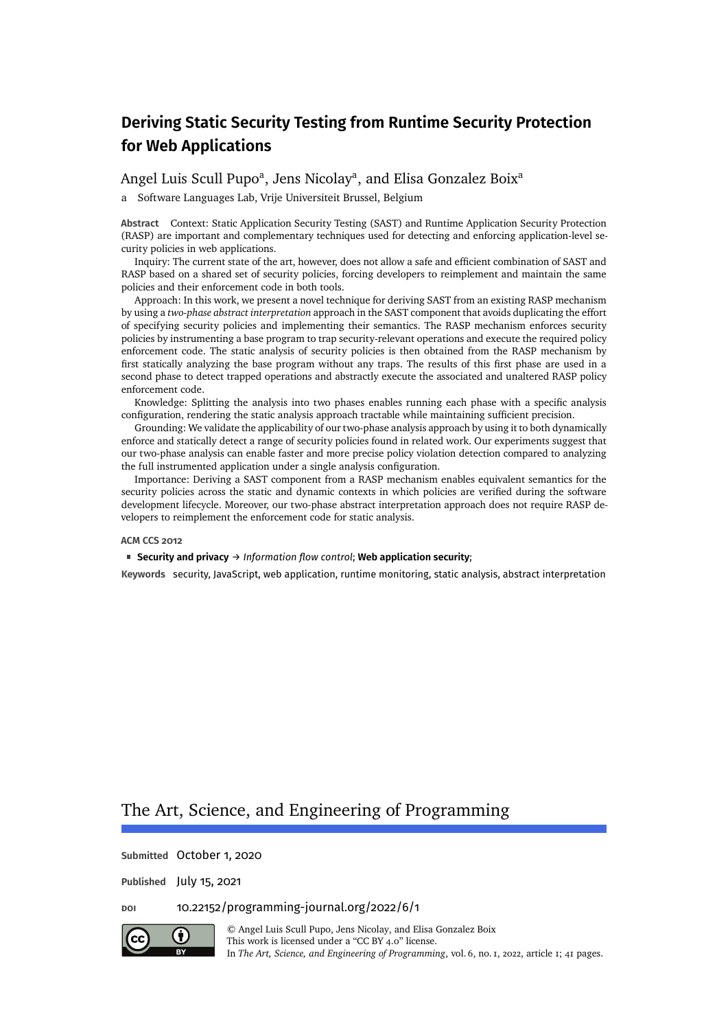### [Angel Luis Scull Pupo](#page-40-0)<sup>a</sup>, [Jens Nicolay](#page-40-1)<sup>a</sup>, and [Elisa Gonzalez Boix](#page-40-2)<sup>a</sup>

a Software Languages Lab, Vrije Universiteit Brussel, Belgium

**Abstract** Context: Static Application Security Testing (SAST) and Runtime Application Security Protection (RASP) are important and complementary techniques used for detecting and enforcing application-level security policies in web applications.

Inquiry: The current state of the art, however, does not allow a safe and efficient combination of SAST and RASP based on a shared set of security policies, forcing developers to reimplement and maintain the same policies and their enforcement code in both tools.

Approach: In this work, we present a novel technique for deriving SAST from an existing RASP mechanism by using a *two-phase abstract interpretation* approach in the SAST component that avoids duplicating the effort of specifying security policies and implementing their semantics. The RASP mechanism enforces security policies by instrumenting a base program to trap security-relevant operations and execute the required policy enforcement code. The static analysis of security policies is then obtained from the RASP mechanism by first statically analyzing the base program without any traps. The results of this first phase are used in a second phase to detect trapped operations and abstractly execute the associated and unaltered RASP policy enforcement code.

Knowledge: Splitting the analysis into two phases enables running each phase with a specific analysis configuration, rendering the static analysis approach tractable while maintaining sufficient precision.

Grounding: We validate the applicability of our two-phase analysis approach by using it to both dynamically enforce and statically detect a range of security policies found in related work. Our experiments suggest that our two-phase analysis can enable faster and more precise policy violation detection compared to analyzing the full instrumented application under a single analysis configuration.

Importance: Deriving a SAST component from a RASP mechanism enables equivalent semantics for the security policies across the static and dynamic contexts in which policies are verified during the software development lifecycle. Moreover, our two-phase abstract interpretation approach does not require RASP developers to reimplement the enforcement code for static analysis.

#### **ACM CCS 2012**

**Security and privacy** → *Information flow control*; **Web application security**;

**Keywords** security, JavaScript, web application, runtime monitoring, static analysis, abstract interpretation

## The Art, Science, and Engineering of Programming

**Submitted** October 1, 2020

**Published** July 15, 2021

**doi** [10.22152/programming-journal.org/2022/6/1](https://doi.org/10.22152/programming-journal.org/2022/6/1)



© [Angel Luis Scull Pupo,](#page-40-0) [Jens Nicolay,](#page-40-1) and [Elisa Gonzalez Boix](#page-40-2) This work is licensed undera ["CC BY 4.0"](https://creativecommons.org/licenses/by/4.0/deed.en) license. In *The Art, Science, and Engineering of Programming*, vol. 6, no. 1, 2022, article1; [41](#page-40-3) pages.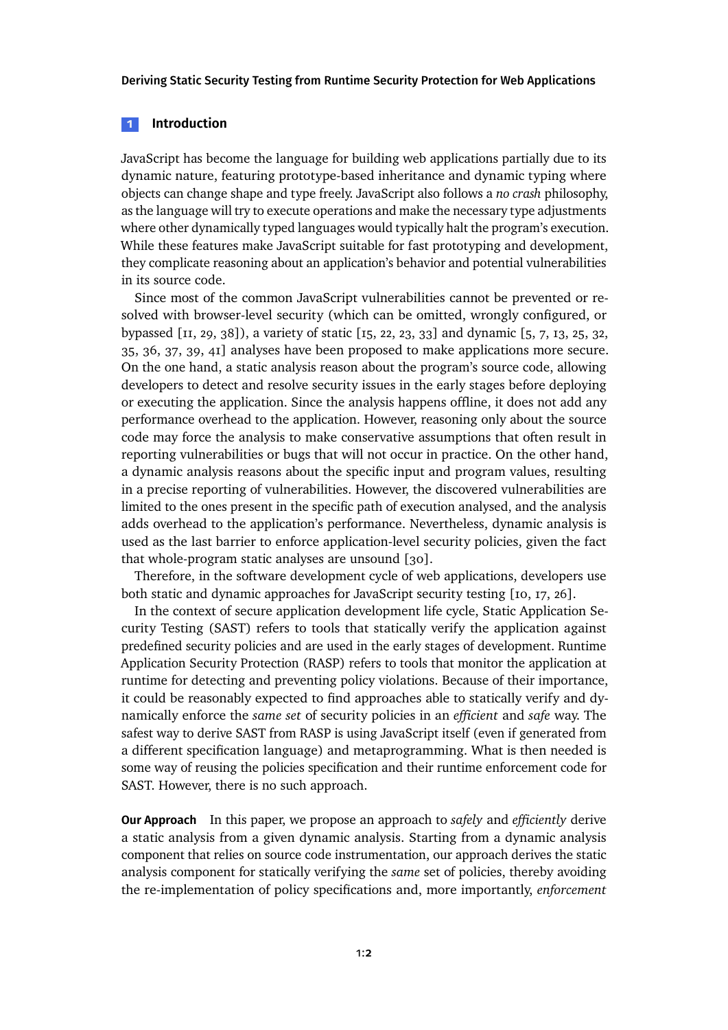#### **1 Introduction**

JavaScript has become the language for building web applications partially due to its dynamic nature, featuring prototype-based inheritance and dynamic typing where objects can change shape and type freely. JavaScript also follows a *no crash* philosophy, as the language will try to execute operations and make the necessary type adjustments where other dynamically typed languages would typically halt the program's execution. While these features make JavaScript suitable for fast prototyping and development, they complicate reasoning about an application's behavior and potential vulnerabilities in its source code.

Since most of the common JavaScript vulnerabilities cannot be prevented or resolved with browser-level security (which can be omitted, wrongly configured, or bypassed [\[11,](#page-25-0) [29,](#page-27-0) [38\]](#page-28-0)), a variety of static [\[15,](#page-26-0) [22,](#page-27-1) [23,](#page-27-2) [33\]](#page-28-1) and dynamic [\[5,](#page-25-1) [7,](#page-25-2) [13,](#page-26-1) [25,](#page-27-3) [32,](#page-28-2) [35,](#page-28-3) [36,](#page-28-4) [37,](#page-28-5) [39,](#page-28-6) [41\]](#page-29-0) analyses have been proposed to make applications more secure. On the one hand, a static analysis reason about the program's source code, allowing developers to detect and resolve security issues in the early stages before deploying or executing the application. Since the analysis happens offline, it does not add any performance overhead to the application. However, reasoning only about the source code may force the analysis to make conservative assumptions that often result in reporting vulnerabilities or bugs that will not occur in practice. On the other hand, a dynamic analysis reasons about the specific input and program values, resulting in a precise reporting of vulnerabilities. However, the discovered vulnerabilities are limited to the ones present in the specific path of execution analysed, and the analysis adds overhead to the application's performance. Nevertheless, dynamic analysis is used as the last barrier to enforce application-level security policies, given the fact that whole-program static analyses are unsound [\[30\]](#page-27-4).

Therefore, in the software development cycle of web applications, developers use both static and dynamic approaches for JavaScript security testing [\[10,](#page-25-3) [17,](#page-26-2) [26\]](#page-27-5).

In the context of secure application development life cycle, Static Application Security Testing (SAST) refers to tools that statically verify the application against predefined security policies and are used in the early stages of development. Runtime Application Security Protection (RASP) refers to tools that monitor the application at runtime for detecting and preventing policy violations. Because of their importance, it could be reasonably expected to find approaches able to statically verify and dynamically enforce the *same set* of security policies in an *efficient* and *safe* way. The safest way to derive SAST from RASP is using JavaScript itself (even if generated from a different specification language) and metaprogramming. What is then needed is some way of reusing the policies specification and their runtime enforcement code for SAST. However, there is no such approach.

**Our Approach** In this paper, we propose an approach to *safely* and *efficiently* derive a static analysis from a given dynamic analysis. Starting from a dynamic analysis component that relies on source code instrumentation, our approach derives the static analysis component for statically verifying the *same* set of policies, thereby avoiding the re-implementation of policy specifications and, more importantly, *enforcement*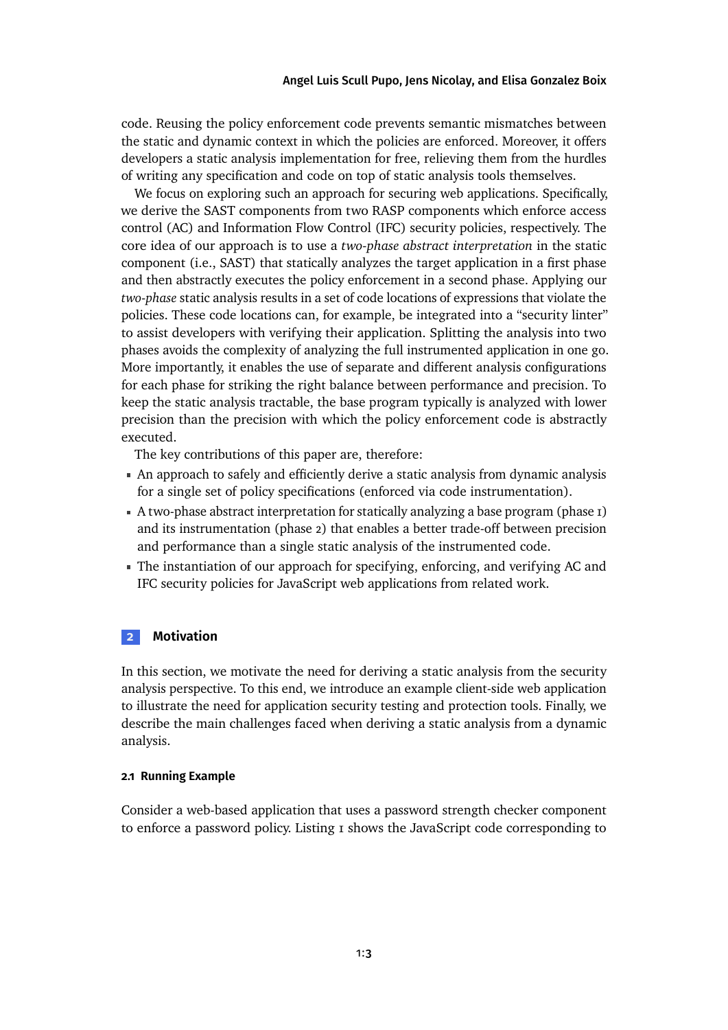#### [Angel Luis Scull Pupo,](#page-40-0) [Jens Nicolay,](#page-40-1) and [Elisa Gonzalez Boix](#page-40-2)

code. Reusing the policy enforcement code prevents semantic mismatches between the static and dynamic context in which the policies are enforced. Moreover, it offers developers a static analysis implementation for free, relieving them from the hurdles of writing any specification and code on top of static analysis tools themselves.

We focus on exploring such an approach for securing web applications. Specifically, we derive the SAST components from two RASP components which enforce access control (AC) and Information Flow Control (IFC) security policies, respectively. The core idea of our approach is to use a *two-phase abstract interpretation* in the static component (i.e., SAST) that statically analyzes the target application in a first phase and then abstractly executes the policy enforcement in a second phase. Applying our *two-phase* static analysis results in a set of code locations of expressions that violate the policies. These code locations can, for example, be integrated into a "security linter" to assist developers with verifying their application. Splitting the analysis into two phases avoids the complexity of analyzing the full instrumented application in one go. More importantly, it enables the use of separate and different analysis configurations for each phase for striking the right balance between performance and precision. To keep the static analysis tractable, the base program typically is analyzed with lower precision than the precision with which the policy enforcement code is abstractly executed.

The key contributions of this paper are, therefore:

- An approach to safely and efficiently derive a static analysis from dynamic analysis for a single set of policy specifications (enforced via code instrumentation).
- A two-phase abstract interpretation for statically analyzing a base program (phase 1) and its instrumentation (phase 2) that enables a better trade-off between precision and performance than a single static analysis of the instrumented code.
- The instantiation of our approach for specifying, enforcing, and verifying AC and IFC security policies for JavaScript web applications from related work.

### <span id="page-2-1"></span>**2 Motivation**

In this section, we motivate the need for deriving a static analysis from the security analysis perspective. To this end, we introduce an example client-side web application to illustrate the need for application security testing and protection tools. Finally, we describe the main challenges faced when deriving a static analysis from a dynamic analysis.

#### <span id="page-2-0"></span>**2.1 Running Example**

Consider a web-based application that uses a password strength checker component to enforce a password policy. [Listing 1](#page-3-0) shows the JavaScript code corresponding to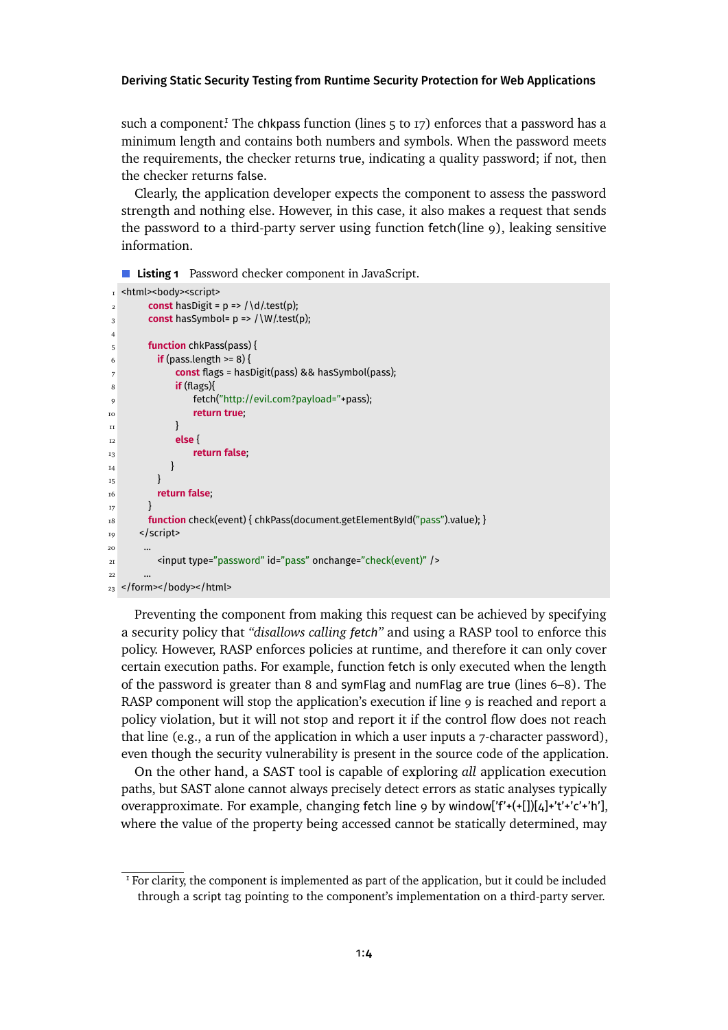such a component! The chkpass function (lines  $5$  to  $17$ ) enforces that a password has a minimum length and contains both numbers and symbols. When the password meets the requirements, the checker returns true, indicating a quality password; if not, then the checker returns false.

Clearly, the application developer expects the component to assess the password strength and nothing else. However, in this case, it also makes a request that sends the password to a third-party server using function fetch(line 9), leaking sensitive information.

<span id="page-3-0"></span>**Listing 1** Password checker component in JavaScript.

```
1 <html><body><script>
const has Digit = p \Rightarrow /\d / test(p);
3 const has Symbol = p \Rightarrow /\W.test(p);
4
5 function chkPass(pass) {
6 if (pass.length >= 8) {
7 const flags = hasDigit(pass) && hasSymbol(pass);
8 if (flags){
9 fetch("http://evil.com?payload="+pass);
10 return true;
\text{h} \text{h}12 else {
13 return false;
14 }
<sub>15</sub> }
16 return false;
17 }
18 function check(event) { chkPass(document.getElementById("pass").value); }
19 </script>
20
21 <input type="password" id="pass" onchange="check(event)" />
22
23 </form></body></html>
```
Preventing the component from making this request can be achieved by specifying a security policy that *"disallows calling fetch"* and using a RASP tool to enforce this policy. However, RASP enforces policies at runtime, and therefore it can only cover certain execution paths. For example, function fetch is only executed when the length of the password is greater than 8 and symFlag and numFlag are true (lines 6–8). The RASP component will stop the application's execution if line 9 is reached and report a policy violation, but it will not stop and report it if the control flow does not reach that line (e.g., a run of the application in which a user inputs a 7-character password), even though the security vulnerability is present in the source code of the application.

On the other hand, a SAST tool is capable of exploring *all* application execution paths, but SAST alone cannot always precisely detect errors as static analyses typically overapproximate. For example, changing fetch line 9 by window['f'+(+[])[4]+'t'+'c'+'h'], where the value of the property being accessed cannot be statically determined, may

<span id="page-3-1"></span> $<sup>I</sup>$  For clarity, the component is implemented as part of the application, but it could be included</sup> through a script tag pointing to the component's implementation on a third-party server.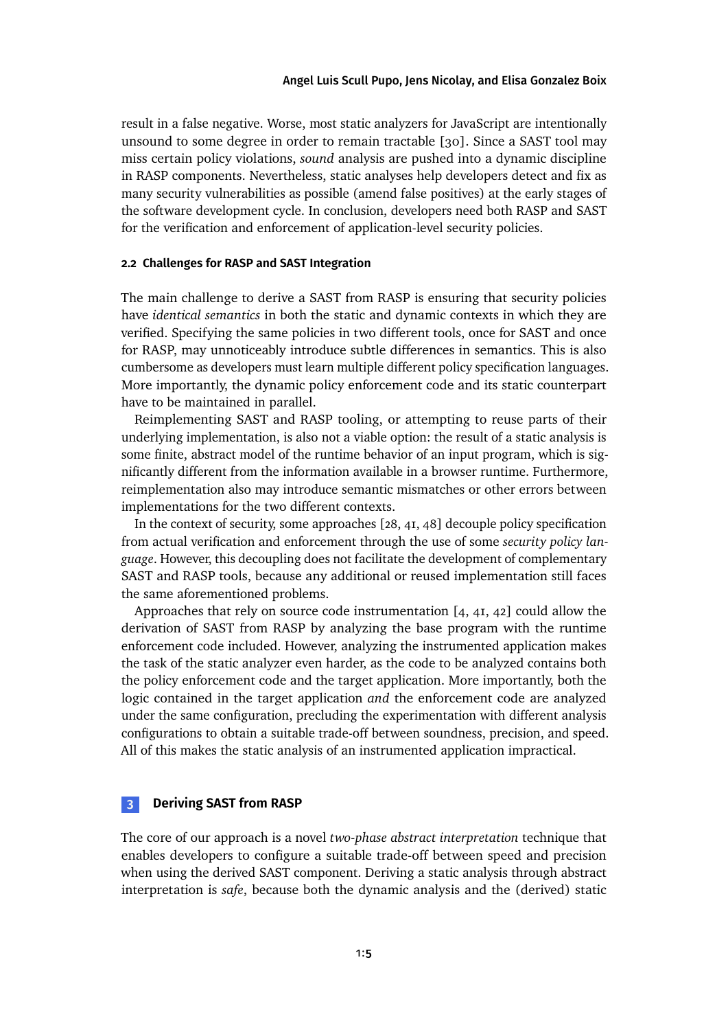result in a false negative. Worse, most static analyzers for JavaScript are intentionally unsound to some degree in order to remain tractable [\[30\]](#page-27-4). Since a SAST tool may miss certain policy violations, *sound* analysis are pushed into a dynamic discipline in RASP components. Nevertheless, static analyses help developers detect and fix as many security vulnerabilities as possible (amend false positives) at the early stages of the software development cycle. In conclusion, developers need both RASP and SAST for the verification and enforcement of application-level security policies.

### **2.2 Challenges for RASP and SAST Integration**

The main challenge to derive a SAST from RASP is ensuring that security policies have *identical semantics* in both the static and dynamic contexts in which they are verified. Specifying the same policies in two different tools, once for SAST and once for RASP, may unnoticeably introduce subtle differences in semantics. This is also cumbersome as developers must learn multiple different policy specification languages. More importantly, the dynamic policy enforcement code and its static counterpart have to be maintained in parallel.

Reimplementing SAST and RASP tooling, or attempting to reuse parts of their underlying implementation, is also not a viable option: the result of a static analysis is some finite, abstract model of the runtime behavior of an input program, which is significantly different from the information available in a browser runtime. Furthermore, reimplementation also may introduce semantic mismatches or other errors between implementations for the two different contexts.

In the context of security, some approaches [\[28,](#page-27-6) [41,](#page-29-0) [48\]](#page-29-1) decouple policy specification from actual verification and enforcement through the use of some *security policy language*. However, this decoupling does not facilitate the development of complementary SAST and RASP tools, because any additional or reused implementation still faces the same aforementioned problems.

Approaches that rely on source code instrumentation [\[4,](#page-24-0) [41,](#page-29-0) [42\]](#page-29-2) could allow the derivation of SAST from RASP by analyzing the base program with the runtime enforcement code included. However, analyzing the instrumented application makes the task of the static analyzer even harder, as the code to be analyzed contains both the policy enforcement code and the target application. More importantly, both the logic contained in the target application *and* the enforcement code are analyzed under the same configuration, precluding the experimentation with different analysis configurations to obtain a suitable trade-off between soundness, precision, and speed. All of this makes the static analysis of an instrumented application impractical.

#### **3 Deriving SAST from RASP**

The core of our approach is a novel *two-phase abstract interpretation* technique that enables developers to configure a suitable trade-off between speed and precision when using the derived SAST component. Deriving a static analysis through abstract interpretation is *safe*, because both the dynamic analysis and the (derived) static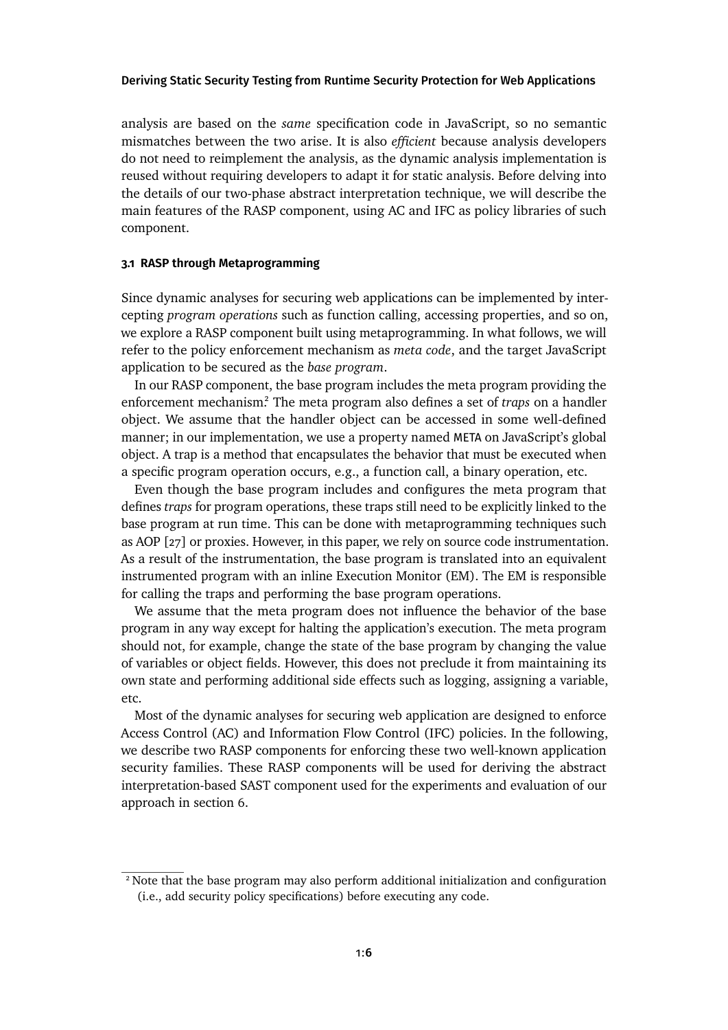analysis are based on the *same* specification code in JavaScript, so no semantic mismatches between the two arise. It is also *efficient* because analysis developers do not need to reimplement the analysis, as the dynamic analysis implementation is reused without requiring developers to adapt it for static analysis. Before delving into the details of our two-phase abstract interpretation technique, we will describe the main features of the RASP component, using AC and IFC as policy libraries of such component.

#### <span id="page-5-1"></span>**3.1 RASP through Metaprogramming**

Since dynamic analyses for securing web applications can be implemented by intercepting *program operations* such as function calling, accessing properties, and so on, we explore a RASP component built using metaprogramming. In what follows, we will refer to the policy enforcement mechanism as *meta code*, and the target JavaScript application to be secured as the *base program*.

In our RASP component, the base program includes the meta program providing the enforcement mechanis[m.](#page-5-0)<sup>2</sup> The meta program also defines a set of *traps* on a handler object. We assume that the handler object can be accessed in some well-defined manner; in our implementation, we use a property named META on JavaScript's global object. A trap is a method that encapsulates the behavior that must be executed when a specific program operation occurs, e.g., a function call, a binary operation, etc.

Even though the base program includes and configures the meta program that defines *traps* for program operations, these traps still need to be explicitly linked to the base program at run time. This can be done with metaprogramming techniques such as AOP [\[27\]](#page-27-7) or proxies. However, in this paper, we rely on source code instrumentation. As a result of the instrumentation, the base program is translated into an equivalent instrumented program with an inline Execution Monitor (EM). The EM is responsible for calling the traps and performing the base program operations.

We assume that the meta program does not influence the behavior of the base program in any way except for halting the application's execution. The meta program should not, for example, change the state of the base program by changing the value of variables or object fields. However, this does not preclude it from maintaining its own state and performing additional side effects such as logging, assigning a variable, etc.

Most of the dynamic analyses for securing web application are designed to enforce Access Control (AC) and Information Flow Control (IFC) policies. In the following, we describe two RASP components for enforcing these two well-known application security families. These RASP components will be used for deriving the abstract interpretation-based SAST component used for the experiments and evaluation of our approachin [section 6.](#page-16-0)

<span id="page-5-0"></span><sup>2</sup> Note that the base program may also perform additional initialization and configuration (i.e., add security policy specifications) before executing any code.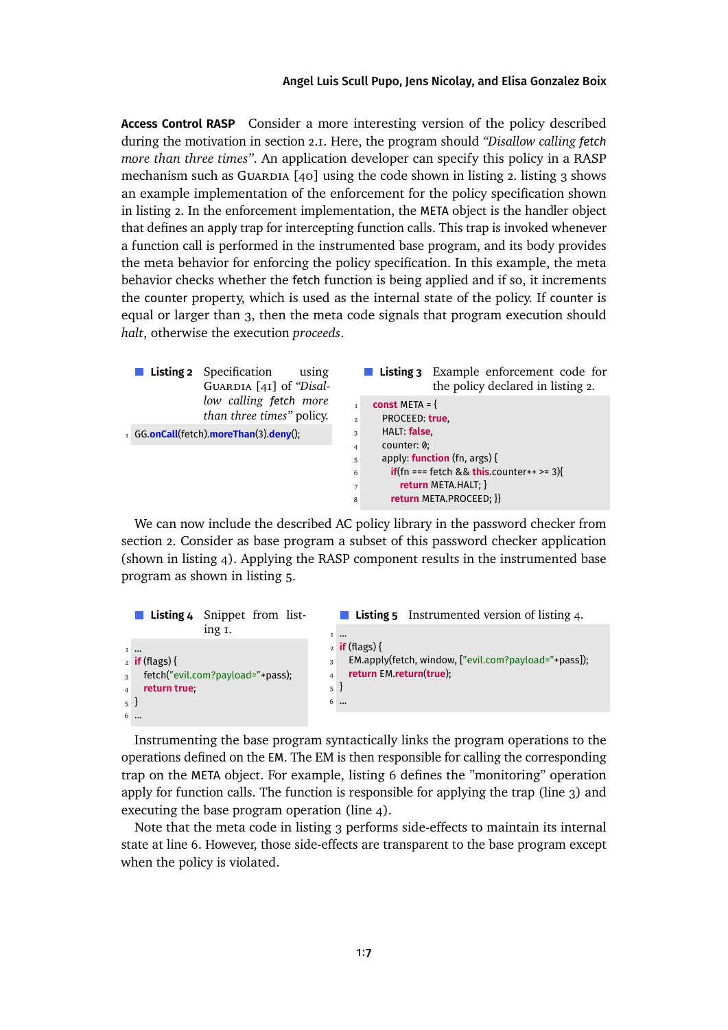**Access Control RASP** Consider a more interesting version of the policy described during the motivation in [section 2.1.](#page-2-0) Here, the program should *"Disallow calling fetch more than three times"*. An application developer can specify this policy in a RASP mechanism such as GUARDIA  $[40]$  using the code shown in [listing 2.](#page-6-0) [listing 3](#page-6-1) shows an example implementation of the enforcement for the policy specification shown in [listing 2.](#page-6-0) In the enforcement implementation, the META object is the handler object that defines an apply trap for intercepting function calls. This trap is invoked whenever a function call is performed in the instrumented base program, and its body provides the meta behavior for enforcing the policy specification. In this example, the meta behavior checks whether the fetch function is being applied and if so, it increments the counter property, which is used as the internal state of the policy. If counter is equal or larger than 3, then the meta code signals that program execution should *halt*, otherwise the execution *proceeds*.

<span id="page-6-1"></span><span id="page-6-0"></span>

| <b>Listing 2</b> Specification<br>using<br>GUARDIA [41] of "Disal- | Listing 3 Example enforcement code for<br>the policy declared in listing 2. |
|--------------------------------------------------------------------|-----------------------------------------------------------------------------|
| low calling fetch more<br>than three times" policy.                | <b>const</b> META = $\{$                                                    |
|                                                                    | PROCEED: true.<br>$\overline{2}$                                            |
| I GG.onCall(fetch).moreThan(3).deny();                             | HALT: false<br>3                                                            |
|                                                                    | counter: 0:<br>$\overline{4}$                                               |
|                                                                    | apply: <b>function</b> (fn, $args$ ) {<br>5                                 |
|                                                                    | <b>if</b> (fn === fetch && <b>this</b> .counter++ >= 3){<br>6               |
|                                                                    | return META.HALT; }<br>$7\overline{ }$                                      |
|                                                                    | return META.PROCEED; }}<br>8                                                |

We can now include the described AC policy library in the password checker from [section 2.](#page-2-1) Consider as base program a subset of this password checker application (shown in [listing 4\)](#page-6-2). Applying the RASP component results in the instrumented base program as shown in [listing 5.](#page-6-3)

<span id="page-6-3"></span><span id="page-6-2"></span>

|                |                                  | <b>Listing 4</b> Snippet from list- |   |                                                      | <b>Listing 5</b> Instrumented version of listing 4. |  |
|----------------|----------------------------------|-------------------------------------|---|------------------------------------------------------|-----------------------------------------------------|--|
|                |                                  | ing I.                              |   | $I \sim$                                             |                                                     |  |
|                | $I$                              |                                     |   | $_2$ if (flags) {                                    |                                                     |  |
|                | $_2$ if (flags) {                |                                     | 3 | EM.apply(fetch, window, ["evil.com?payload="+pass]); |                                                     |  |
| $\overline{3}$ | fetch("evil.com?payload="+pass); |                                     |   | return EM.return(true);                              |                                                     |  |
| $\overline{4}$ | return true:                     |                                     | 5 |                                                      |                                                     |  |
| $5^{\circ}$    |                                  |                                     |   | 6                                                    |                                                     |  |
|                | 6                                |                                     |   |                                                      |                                                     |  |
|                |                                  |                                     |   |                                                      |                                                     |  |

Instrumenting the base program syntactically links the program operations to the operations defined on the EM. The EM is then responsible for calling the corresponding trap on the META object. For example, [listing 6](#page-6-4) defines the "monitoring" operation apply for function calls. The function is responsible for applying the trap (line 3) and executing the base program operation (line 4).

<span id="page-6-4"></span>Note that the meta code in [listing 3](#page-6-1) performs side-effects to maintain its internal state at line 6. However, those side-effects are transparent to the base program except when the policy is violated.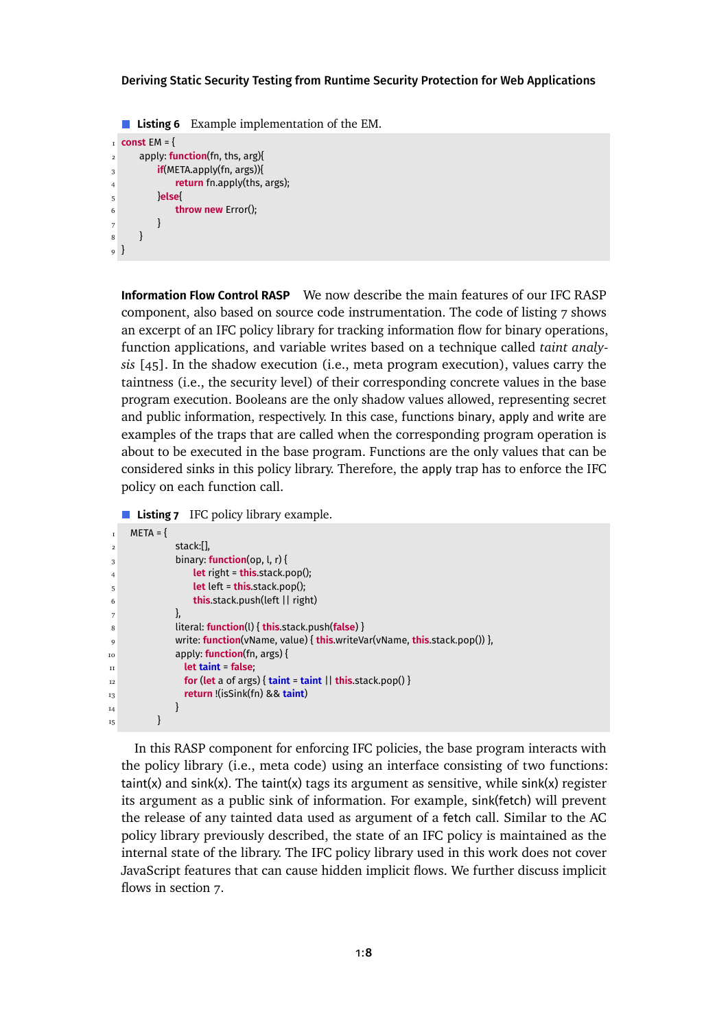**Listing 6** Example implementation of the EM.

```
I const EM = {
2 apply: function(fn, ths, arg){
3 if(META.apply(fn, args)){
4 return fn.apply(ths, args);
5 }else{
6 throw new Error();
7 }
8 }
9 }
```
**Information Flow Control RASP** We now describe the main features of our IFC RASP component, also based on source code instrumentation. The code of [listing 7](#page-7-0) shows an excerpt of an IFC policy library for tracking information flow for binary operations, function applications, and variable writes based on a technique called *taint analysis* [\[45\]](#page-29-4). In the shadow execution (i.e., meta program execution), values carry the taintness (i.e., the security level) of their corresponding concrete values in the base program execution. Booleans are the only shadow values allowed, representing secret and public information, respectively. In this case, functions binary, apply and write are examples of the traps that are called when the corresponding program operation is about to be executed in the base program. Functions are the only values that can be considered sinks in this policy library. Therefore, the apply trap has to enforce the IFC policy on each function call.

<span id="page-7-0"></span>**Listing 7** IFC policy library example.

```
I META = {
\sim stack:[],
3 binary: function(op, l, r) {
4 let right = this.stack.pop();
5 let left = this.stack.pop();
6 this.stack.push(left || right)
\frac{1}{7}, \frac{1}{7}, \frac{1}{7}, \frac{1}{7}8 literal: function(l) { this.stack.push(false) }
9 write: function(vName, value) { this.writeVar(vName, this.stack.pop()) },
10 apply: function(fn, args) {
11 let taint = false;
12 for (let a of args) { taint = taint || this.stack.pop() }
13 return !(isSink(fn) && taint)
14 }
15 }
```
In this RASP component for enforcing IFC policies, the base program interacts with the policy library (i.e., meta code) using an interface consisting of two functions:  $taint(x)$  and  $sink(x)$ . The taint(x) tags its argument as sensitive, while  $sink(x)$  register its argument as a public sink of information. For example, sink(fetch) will prevent the release of any tainted data used as argument of a fetch call. Similar to the AC policy library previously described, the state of an IFC policy is maintained as the internal state of the library. The IFC policy library used in this work does not cover JavaScript features that can cause hidden implicit flows. We further discuss implicit flows in [section 7.](#page-20-0)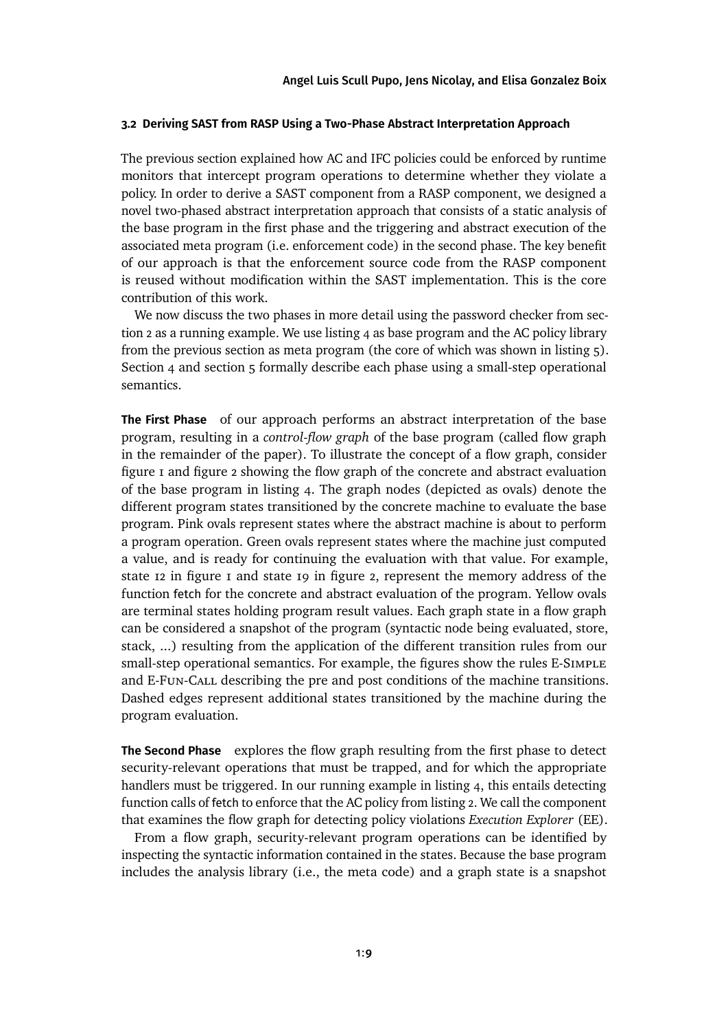#### <span id="page-8-0"></span>**3.2 Deriving SAST from RASP Using a Two-Phase Abstract Interpretation Approach**

The previous section explained how AC and IFC policies could be enforced by runtime monitors that intercept program operations to determine whether they violate a policy. In order to derive a SAST component from a RASP component, we designed a novel two-phased abstract interpretation approach that consists of a static analysis of the base program in the first phase and the triggering and abstract execution of the associated meta program (i.e. enforcement code) in the second phase. The key benefit of our approach is that the enforcement source code from the RASP component is reused without modification within the SAST implementation. This is the core contribution of this work.

We now discuss the two phases in more detail using the password checker from [sec](#page-2-1)[tion 2](#page-2-1) as a running example. We use [listing 4](#page-6-2) as base program and the AC policy library from the previous section as meta program (the core of which was shown in [listing 5\)](#page-6-3). [Section 4](#page-10-0) and [section 5](#page-13-0) formally describe each phase using a small-step operational semantics.

**The First Phase** of our approach performs an abstract interpretation of the base program, resulting in a *control-flow graph* of the base program (called flow graph in the remainder of the paper). To illustrate the concept of a flow graph, consider [figure 1](#page-9-0) and [figure 2](#page-9-0) showing the flow graph of the concrete and abstract evaluation of the base program in [listing 4.](#page-6-2) The graph nodes (depicted as ovals) denote the different program states transitioned by the concrete machine to evaluate the base program. Pink ovals represent states where the abstract machine is about to perform a program operation. Green ovals represent states where the machine just computed a value, and is ready for continuing the evaluation with that value. For example, state  $12$  in figure  $1$  and state  $19$  in [figure 2,](#page-9-0) represent the memory address of the function fetch for the concrete and abstract evaluation of the program. Yellow ovals are terminal states holding program result values. Each graph state in a flow graph can be considered a snapshot of the program (syntactic node being evaluated, store, stack, ...) resulting from the application of the different transition rules from our small-step operational semantics. For example, the figures show the rules E-Simple and E-Fun-Call describing the pre and post conditions of the machine transitions. Dashed edges represent additional states transitioned by the machine during the program evaluation.

**The Second Phase** explores the flow graph resulting from the first phase to detect security-relevant operations that must be trapped, and for which the appropriate handlers must be triggered. In our running example in [listing 4,](#page-6-2) this entails detecting function calls of fetch to enforce that the AC policy from [listing 2.](#page-6-0) We call the component that examines the flow graph for detecting policy violations *Execution Explorer* (EE).

From a flow graph, security-relevant program operations can be identified by inspecting the syntactic information contained in the states. Because the base program includes the analysis library (i.e., the meta code) and a graph state is a snapshot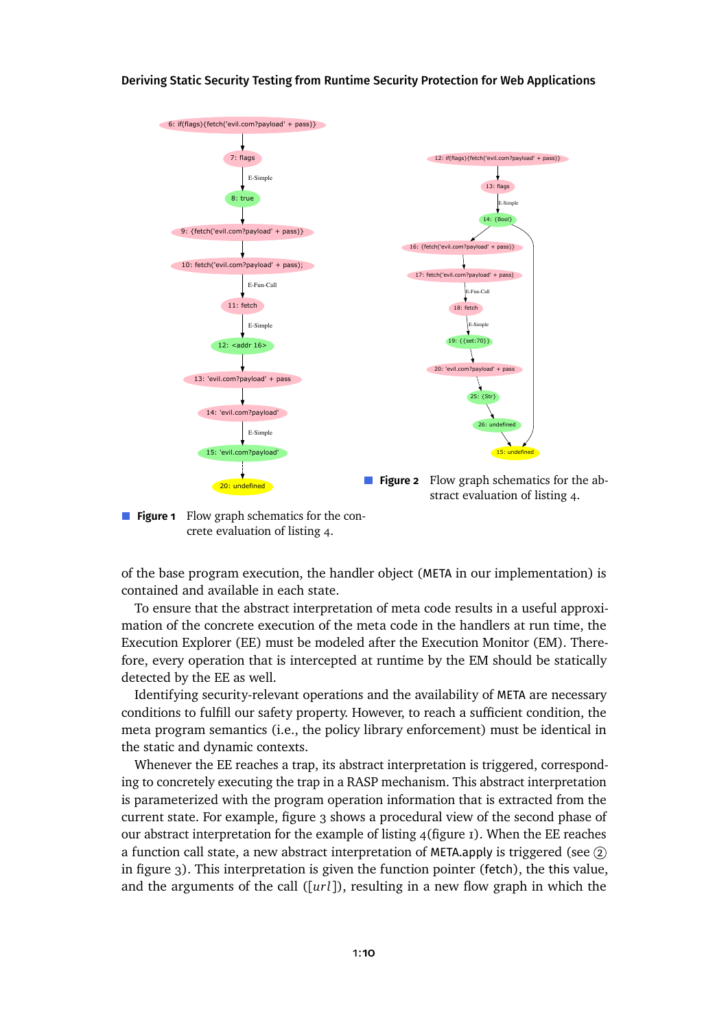<span id="page-9-0"></span>

**Figure 1** Flow graph schematics for the concrete evaluation of [listing 4.](#page-6-2)

of the base program execution, the handler object (META in our implementation) is contained and available in each state.

To ensure that the abstract interpretation of meta code results in a useful approximation of the concrete execution of the meta code in the handlers at run time, the Execution Explorer (EE) must be modeled after the Execution Monitor (EM). Therefore, every operation that is intercepted at runtime by the EM should be statically detected by the EE as well.

Identifying security-relevant operations and the availability of META are necessary conditions to fulfill our safety property. However, to reach a sufficient condition, the meta program semantics (i.e., the policy library enforcement) must be identical in the static and dynamic contexts.

Whenever the EE reaches a trap, its abstract interpretation is triggered, corresponding to concretely executing the trap in a RASP mechanism. This abstract interpretation is parameterized with the program operation information that is extracted from the current state. For example, [figure 3](#page-10-1) shows a procedural view of the second phase of ourabstract interpretation for the example of listing  $4$ [\(figure 1\)](#page-9-0). When the EE reaches a function call state, a new abstract interpretation of META.apply is triggered (see  $(2)$ in [figure 3\)](#page-10-1). This interpretation is given the function pointer (fetch), the this value, and the arguments of the call ([*url*]), resulting in a new flow graph in which the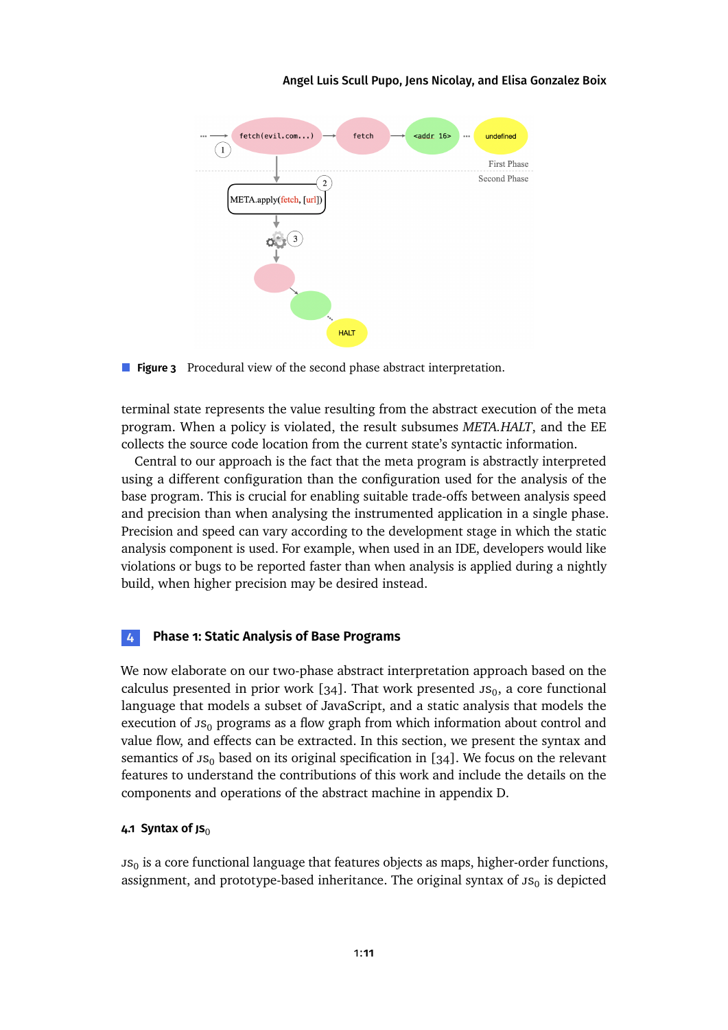<span id="page-10-1"></span>

**Figure 3** Procedural view of the second phase abstract interpretation.

terminal state represents the value resulting from the abstract execution of the meta program. When a policy is violated, the result subsumes *META.HALT*, and the EE collects the source code location from the current state's syntactic information.

Central to our approach is the fact that the meta program is abstractly interpreted using a different configuration than the configuration used for the analysis of the base program. This is crucial for enabling suitable trade-offs between analysis speed and precision than when analysing the instrumented application in a single phase. Precision and speed can vary according to the development stage in which the static analysis component is used. For example, when used in an IDE, developers would like violations or bugs to be reported faster than when analysis is applied during a nightly build, when higher precision may be desired instead.

### <span id="page-10-0"></span>**4 Phase 1: Static Analysis of Base Programs**

We now elaborate on our two-phase abstract interpretation approach based on the calculus presented in prior work  $[34]$ . That work presented  $\text{JS}_0$ , a core functional language that models a subset of JavaScript, and a static analysis that models the execution of  $\text{JS}_0$  programs as a flow graph from which information about control and value flow, and effects can be extracted. In this section, we present the syntax and semantics of  $\text{JS}_0$  based on its original specification in [\[34\]](#page-28-7). We focus on the relevant features to understand the contributions of this work and include the details on the components and operations of the abstract machinein [appendix D.](#page-30-0)

### **4.1 Syntax of JS**<sup>0</sup>

 $\mathsf{us}_0$  is a core functional language that features objects as maps, higher-order functions, assignment, and prototype-based inheritance. The original syntax of  $\mathfrak{so}_0$  is depicted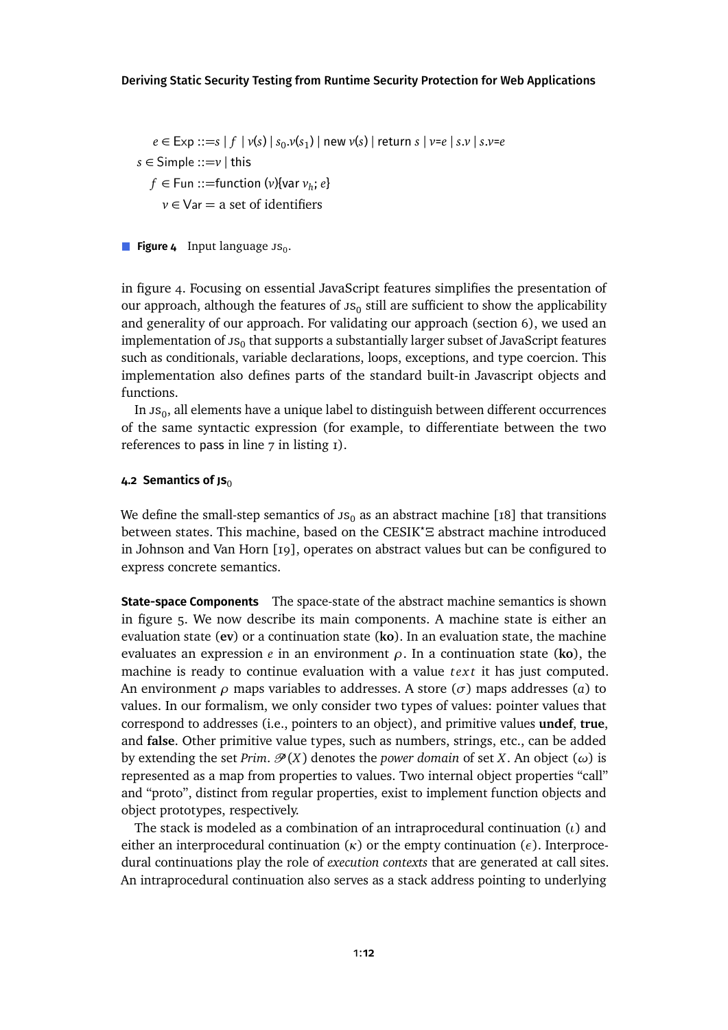<span id="page-11-0"></span>*e* ∈ Exp ::=*s* | *f* | *v*(*s*) | *s*<sup>0</sup> .*v*(*s*<sup>1</sup> ) | new *v*(*s*) | return *s* | *v*=*e* | *s*.*v* | *s*.*v*=*e*  $s \in$  Simple ::= $v \mid$  this  $f \in \text{Fun}::=$ function ( $v$ ){var  $v_h$ ;  $e$ } *v* ∈ Var = a set of identifiers

in [figure 4.](#page-11-0) Focusing on essential JavaScript features simplifies the presentation of our approach, although the features of  $\mathsf{JS}_0$  still are sufficient to show the applicability and generality of our approach. For validating our approach [\(section 6\)](#page-16-0), we used an implementation of  $\mathfrak{ss}_0$  that supports a substantially larger subset of JavaScript features such as conditionals, variable declarations, loops, exceptions, and type coercion. This implementation also defines parts of the standard built-in Javascript objects and functions.

In  $\mathop{\text{JS}}\nolimits_0$ , all elements have a unique label to distinguish between different occurrences of the same syntactic expression (for example, to differentiate between the two references to pass in line  $7$  in listing  $1$ ).

#### **4.2 Semantics of JS**<sup>0</sup>

We define the small-step semantics of  $JS<sub>0</sub>$  as an abstract machine [\[18\]](#page-26-3) that transitions between states. This machine, based on the CESIK*?Ξ* abstract machine introduced in Johnson and Van Horn [\[19\]](#page-26-4), operates on abstract values but can be configured to express concrete semantics.

**State-space Components** The space-state of the abstract machine semantics is shown in [figure 5.](#page-12-0) We now describe its main components. A machine state is either an evaluation state (**ev**) or a continuation state (**ko**). In an evaluation state, the machine evaluates an expression *e* in an environment *ρ*. In a continuation state (**ko**), the machine is ready to continue evaluation with a value *text* it has just computed. An environment *ρ* maps variables to addresses. A store (*σ*) maps addresses (*a*) to values. In our formalism, we only consider two types of values: pointer values that correspond to addresses (i.e., pointers to an object), and primitive values **undef**, **true**, and **false**. Other primitive value types, such as numbers, strings, etc., can be added by extending the set *Prim*.  $\mathcal{P}(X)$  denotes the *power domain* of set *X*. An object ( $\omega$ ) is represented as a map from properties to values. Two internal object properties "call" and "proto", distinct from regular properties, exist to implement function objects and object prototypes, respectively.

The stack is modeled as a combination of an intraprocedural continuation (*ι*) and either an interprocedural continuation  $(\kappa)$  or the empty continuation  $(\epsilon)$ . Interprocedural continuations play the role of *execution contexts* that are generated at call sites. An intraprocedural continuation also serves as a stack address pointing to underlying

**Figure 4** Input language Js<sub>0</sub>.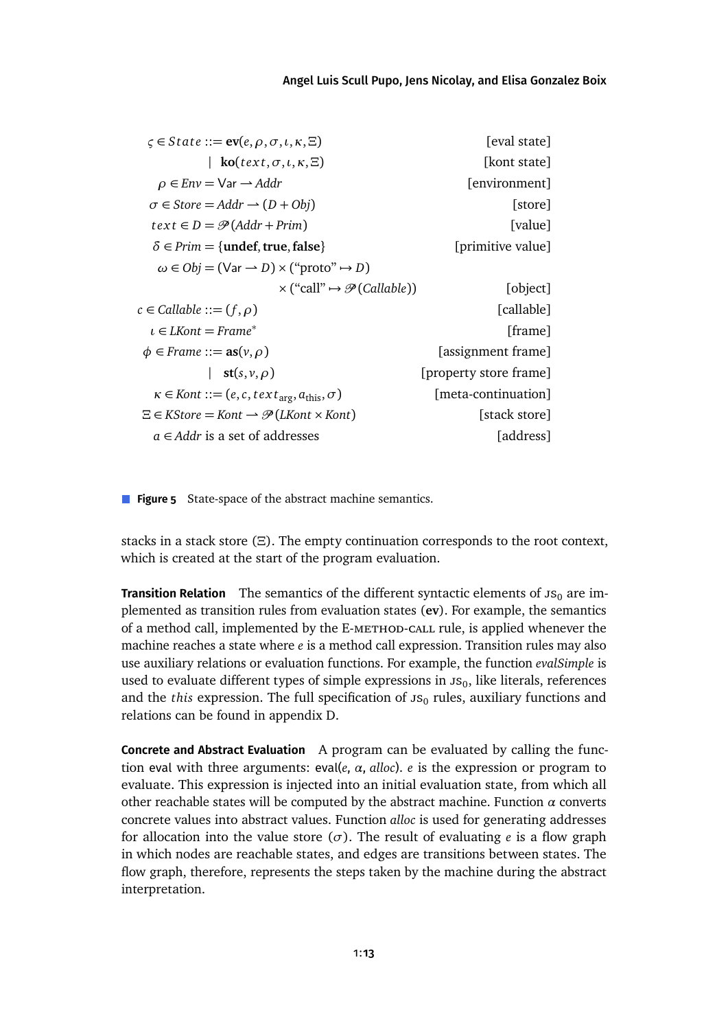#### [Angel Luis Scull Pupo,](#page-40-0) [Jens Nicolay,](#page-40-1) and [Elisa Gonzalez Boix](#page-40-2)

<span id="page-12-0"></span>

| [eval state]           | $\zeta \in State ::= \text{ev}(e, \rho, \sigma, \iota, \kappa, \Xi)$        |
|------------------------|-----------------------------------------------------------------------------|
| [kont state]           | $ko(text, \sigma, \iota, \kappa, \Xi)$                                      |
| [environment]          | $\rho \in Env = Var \rightarrow Addr$                                       |
| [store]                | $\sigma \in$ Store = Addr $\rightarrow$ (D + Obj)                           |
| [value]                | $text \in D = \mathcal{P}(Addr + Prim)$                                     |
| [primitive value]      | $\delta \in Prim = \{$ undef, true, false $\}$                              |
|                        | $\omega \in Ob$ = (Var $\rightarrow D$ ) $\times$ ("proto" $\rightarrow$ D) |
| [object]               | $\times$ ("call" $\rightarrow \mathcal{P}(Callable)$ )                      |
| [callable]             | $c \in$ Callable ::= $(f, \rho)$                                            |
| [frame]                | $\iota \in L$ Kont = Frame <sup>*</sup>                                     |
| [assignment frame]     | $\phi \in$ Frame ::= $as(v, \rho)$                                          |
| [property store frame] | $st(s, v, \rho)$                                                            |
| [meta-continuation]    | $\kappa \in$ Kont ::= $(e, c, text_{\text{arg}}, a_{\text{this}}, \sigma)$  |
| [stack store]          | $\Xi \in K$ Store = Kont $\rightarrow \mathcal{P}(LK$ ont $\times$ Kont)    |
| [address]              | $a \in Addr$ is a set of addresses                                          |

**Figure 5** State-space of the abstract machine semantics.

stacks in a stack store (*Ξ*). The empty continuation corresponds to the root context, which is created at the start of the program evaluation.

**Transition Relation** The semantics of the different syntactic elements of  $JS<sub>0</sub>$  are implemented as transition rules from evaluation states (**ev**). For example, the semantics of a method call, implemented by the E-METHOD-CALL rule, is applied whenever the machine reaches a state where *e* is a method call expression. Transition rules may also use auxiliary relations or evaluation functions. For example, the function *evalSimple* is used to evaluate different types of simple expressions in  $\mathfrak{ss}_0$ , like literals, references and the *this* expression. The full specification of  $\text{JS}_0$  rules, auxiliary functions and relations can be found in [appendix D.](#page-30-0)

**Concrete and Abstract Evaluation** A program can be evaluated by calling the function eval with three arguments: eval(*e*,  $\alpha$ , *alloc*). *e* is the expression or program to evaluate. This expression is injected into an initial evaluation state, from which all other reachable states will be computed by the abstract machine. Function *α* converts concrete values into abstract values. Function *alloc* is used for generating addresses for allocation into the value store  $(\sigma)$ . The result of evaluating *e* is a flow graph in which nodes are reachable states, and edges are transitions between states. The flow graph, therefore, represents the steps taken by the machine during the abstract interpretation.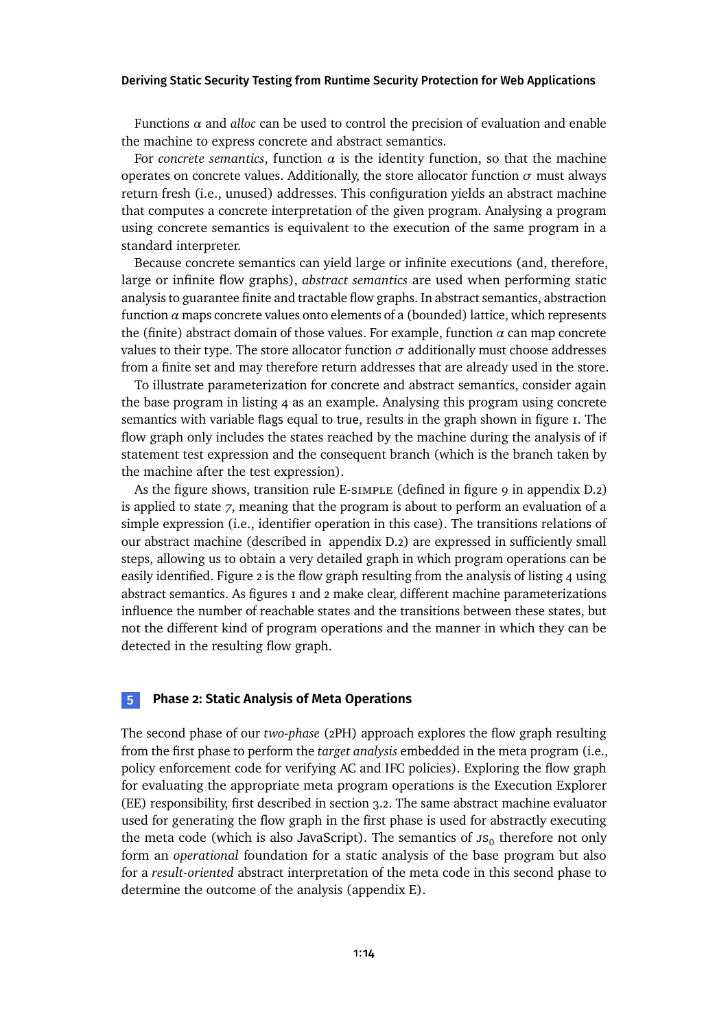Functions *α* and *alloc* can be used to control the precision of evaluation and enable the machine to express concrete and abstract semantics.

For *concrete semantics*, function  $\alpha$  is the identity function, so that the machine operates on concrete values. Additionally, the store allocator function  $\sigma$  must always return fresh (i.e., unused) addresses. This configuration yields an abstract machine that computes a concrete interpretation of the given program. Analysing a program using concrete semantics is equivalent to the execution of the same program in a standard interpreter.

Because concrete semantics can yield large or infinite executions (and, therefore, large or infinite flow graphs), *abstract semantics* are used when performing static analysis to guarantee finite and tractable flow graphs. In abstract semantics, abstraction function  $\alpha$  maps concrete values onto elements of a (bounded) lattice, which represents the (finite) abstract domain of those values. For example, function  $\alpha$  can map concrete values to their type. The store allocator function  $\sigma$  additionally must choose addresses from a finite set and may therefore return addresses that are already used in the store.

To illustrate parameterization for concrete and abstract semantics, consider again the base program in [listing 4](#page-6-2) as an example. Analysing this program using concrete semantics with variable flags equal to true, results in the graph shown in [figure 1.](#page-9-0) The flow graph only includes the states reached by the machine during the analysis of if statement test expression and the consequent branch (which is the branch taken by the machine after the test expression).

Asthe figure shows, transition rule E-simple (defined in [figure 9](#page-34-0) in [appendix D.2\)](#page-33-0) is applied to state *7*, meaning that the program is about to perform an evaluation of a simple expression (i.e., identifier operation in this case). The transitions relations of our abstract machine (described in [appendix D.2\)](#page-33-0) are expressed in sufficiently small steps, allowing us to obtain a very detailed graph in which program operations can be easily identified. [Figure 2](#page-9-0) is the flow graph resulting from the analysisof [listing 4](#page-6-2) using abstract semantics. As [figures 1](#page-9-0) and [2](#page-9-0) make clear, different machine parameterizations influence the number of reachable states and the transitions between these states, but not the different kind of program operations and the manner in which they can be detected in the resulting flow graph.

#### <span id="page-13-0"></span>**5 Phase 2: Static Analysis of Meta Operations**

The second phase of our *two-phase* (2PH) approach explores the flow graph resulting from the first phase to perform the *target analysis* embedded in the meta program (i.e., policy enforcement code for verifying AC and IFC policies). Exploring the flow graph for evaluating the appropriate meta program operations is the Execution Explorer (EE) responsibility, first described in [section 3.2.](#page-8-0) The same abstract machine evaluator used for generating the flow graph in the first phase is used for abstractly executing the meta code (which is also JavaScript). The semantics of  $\mathfrak{ss}_0$  therefore not only form an *operational* foundation for a static analysis of the base program but also for a *result-oriented* abstract interpretation of the meta code in this second phase to determine the outcome of the analysis [\(appendix E\)](#page-35-0).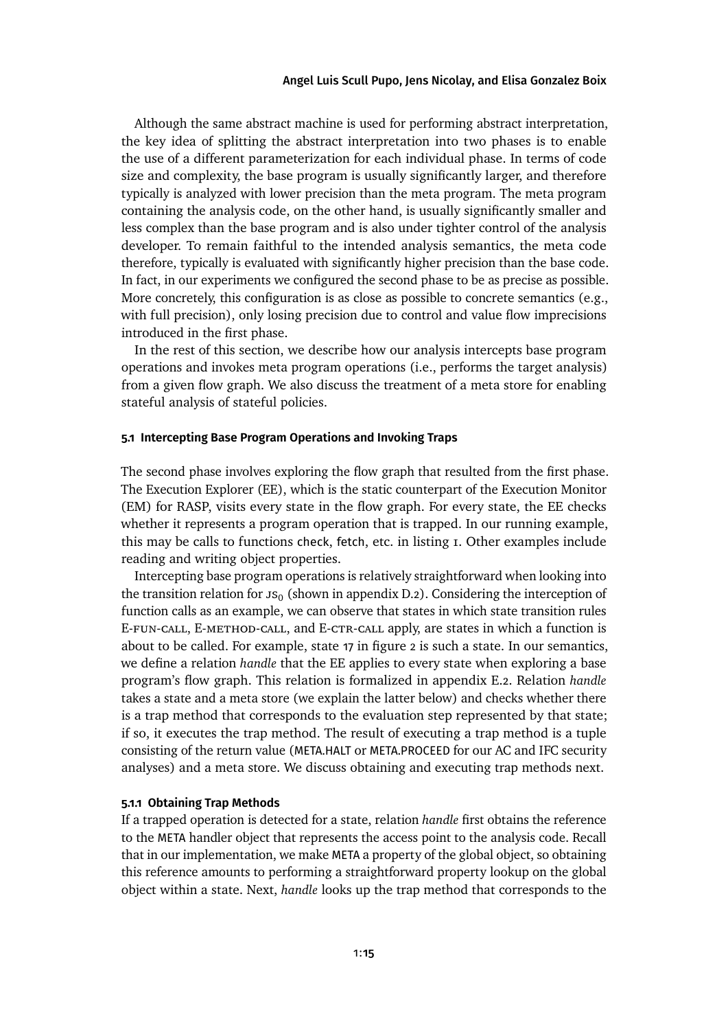Although the same abstract machine is used for performing abstract interpretation, the key idea of splitting the abstract interpretation into two phases is to enable the use of a different parameterization for each individual phase. In terms of code size and complexity, the base program is usually significantly larger, and therefore typically is analyzed with lower precision than the meta program. The meta program containing the analysis code, on the other hand, is usually significantly smaller and less complex than the base program and is also under tighter control of the analysis developer. To remain faithful to the intended analysis semantics, the meta code therefore, typically is evaluated with significantly higher precision than the base code. In fact, in our experiments we configured the second phase to be as precise as possible. More concretely, this configuration is as close as possible to concrete semantics (e.g., with full precision), only losing precision due to control and value flow imprecisions introduced in the first phase.

In the rest of this section, we describe how our analysis intercepts base program operations and invokes meta program operations (i.e., performs the target analysis) from a given flow graph. We also discuss the treatment of a meta store for enabling stateful analysis of stateful policies.

### <span id="page-14-0"></span>**5.1 Intercepting Base Program Operations and Invoking Traps**

The second phase involves exploring the flow graph that resulted from the first phase. The Execution Explorer (EE), which is the static counterpart of the Execution Monitor (EM) for RASP, visits every state in the flow graph. For every state, the EE checks whether it represents a program operation that is trapped. In our running example, this may be calls to functions check, fetch, etc. in [listing 1.](#page-3-0) Other examples include reading and writing object properties.

Intercepting base program operations is relatively straightforward when looking into thetransition relation for  $\text{JS}_0$  (shown in [appendix D.2\)](#page-33-0). Considering the interception of function calls as an example, we can observe that states in which state transition rules E-fun-call, E-method-call, and E-ctr-call apply, are states in which a function is about to be called. For example, state 17 in [figure 2](#page-9-0) is such a state. In our semantics, we define a relation *handle* that the EE applies to every state when exploring a base program's flow graph. This relation is formalized in [appendix E.2.](#page-36-0) Relation *handle* takes a state and a meta store (we explain the latter below) and checks whether there is a trap method that corresponds to the evaluation step represented by that state; if so, it executes the trap method. The result of executing a trap method is a tuple consisting of the return value (META.HALT or META.PROCEED for our AC and IFC security analyses) and a meta store. We discuss obtaining and executing trap methods next.

#### **5.1.1 Obtaining Trap Methods**

If a trapped operation is detected for a state, relation *handle* first obtains the reference to the META handler object that represents the access point to the analysis code. Recall that in our implementation, we make META a property of the global object, so obtaining this reference amounts to performing a straightforward property lookup on the global object within a state. Next, *handle* looks up the trap method that corresponds to the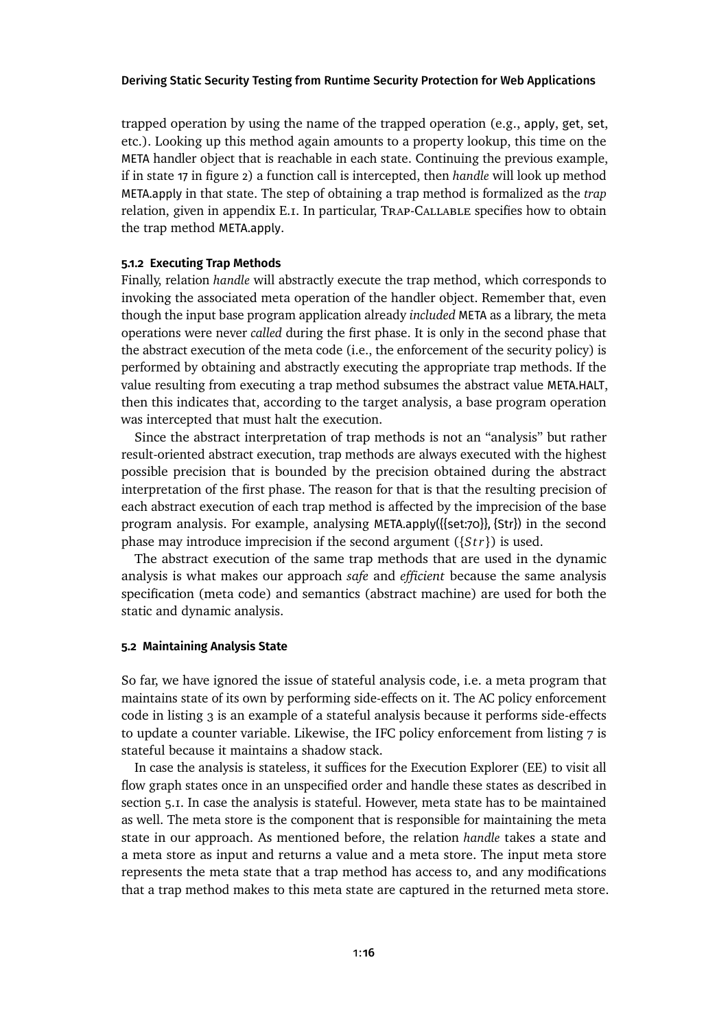trapped operation by using the name of the trapped operation (e.g., apply, get, set, etc.). Looking up this method again amounts to a property lookup, this time on the META handler object that is reachable in each state. Continuing the previous example, if in state 17 in [figure 2\)](#page-9-0) a function call is intercepted, then *handle* will look up method META.apply in that state. The step of obtaining a trap method is formalized as the *trap* relation, given in [appendix E.1.](#page-36-1) In particular, Trap-Callable specifies how to obtain the trap method META.apply.

#### **5.1.2 Executing Trap Methods**

Finally, relation *handle* will abstractly execute the trap method, which corresponds to invoking the associated meta operation of the handler object. Remember that, even though the input base program application already *included* META as a library, the meta operations were never *called* during the first phase. It is only in the second phase that the abstract execution of the meta code (i.e., the enforcement of the security policy) is performed by obtaining and abstractly executing the appropriate trap methods. If the value resulting from executing a trap method subsumes the abstract value META.HALT, then this indicates that, according to the target analysis, a base program operation was intercepted that must halt the execution.

Since the abstract interpretation of trap methods is not an "analysis" but rather result-oriented abstract execution, trap methods are always executed with the highest possible precision that is bounded by the precision obtained during the abstract interpretation of the first phase. The reason for that is that the resulting precision of each abstract execution of each trap method is affected by the imprecision of the base program analysis. For example, analysing META.apply({{set:70}}, {Str}) in the second phase may introduce imprecision if the second argument ({*S t r*}) is used.

The abstract execution of the same trap methods that are used in the dynamic analysis is what makes our approach *safe* and *efficient* because the same analysis specification (meta code) and semantics (abstract machine) are used for both the static and dynamic analysis.

#### **5.2 Maintaining Analysis State**

So far, we have ignored the issue of stateful analysis code, i.e. a meta program that maintains state of its own by performing side-effects on it. The AC policy enforcement code in [listing 3](#page-6-1) is an example of a stateful analysis because it performs side-effects to update a counter variable. Likewise, the IFC policy enforcement from [listing 7](#page-7-0) is stateful because it maintains a shadow stack.

In case the analysis is stateless, it suffices for the Execution Explorer (EE) to visit all flow graph states once in an unspecified order and handle these states as described in [section 5.1.](#page-14-0) In case the analysis is stateful. However, meta state has to be maintained as well. The meta store is the component that is responsible for maintaining the meta state in our approach. As mentioned before, the relation *handle* takes a state and a meta store as input and returns a value and a meta store. The input meta store represents the meta state that a trap method has access to, and any modifications that a trap method makes to this meta state are captured in the returned meta store.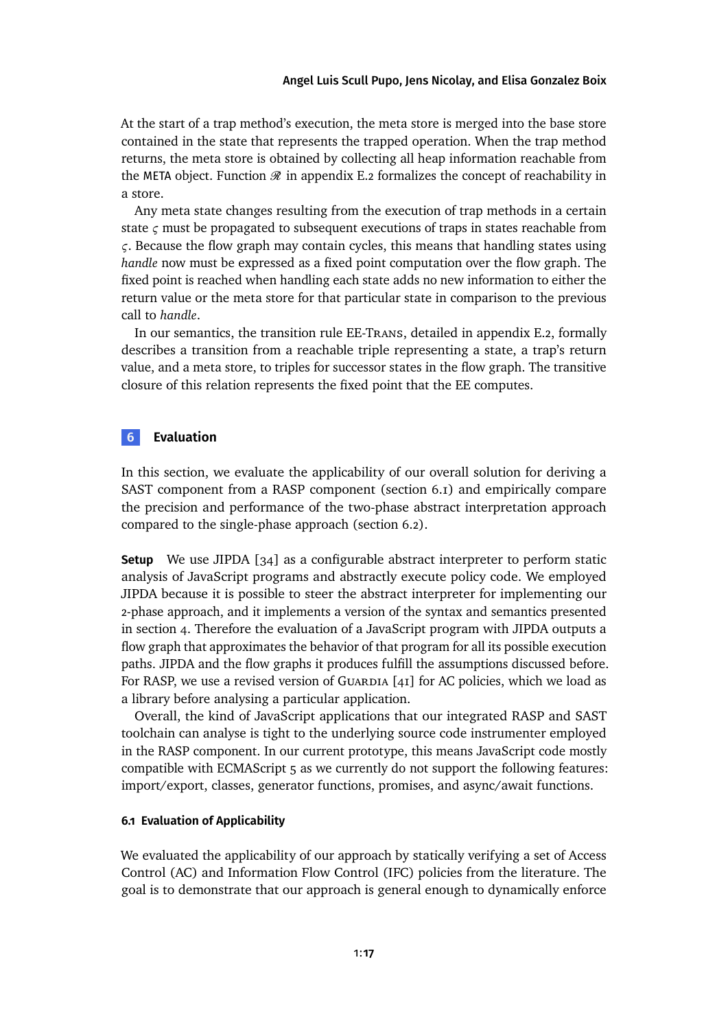#### [Angel Luis Scull Pupo,](#page-40-0) [Jens Nicolay,](#page-40-1) and [Elisa Gonzalez Boix](#page-40-2)

At the start of a trap method's execution, the meta store is merged into the base store contained in the state that represents the trapped operation. When the trap method returns, the meta store is obtained by collecting all heap information reachable from the META object. Function  $\mathcal R$  in [appendix E.2](#page-36-0) formalizes the concept of reachability in a store.

Any meta state changes resulting from the execution of trap methods in a certain state *ς* must be propagated to subsequent executions of traps in states reachable from *ς*. Because the flow graph may contain cycles, this means that handling states using *handle* now must be expressed as a fixed point computation over the flow graph. The fixed point is reached when handling each state adds no new information to either the return value or the meta store for that particular state in comparison to the previous call to *handle*.

In our semantics, the transition rule EE-Trans, detailed in [appendix E.2,](#page-36-0) formally describes a transition from a reachable triple representing a state, a trap's return value, and a meta store, to triples for successor states in the flow graph. The transitive closure of this relation represents the fixed point that the EE computes.

### <span id="page-16-0"></span>**6 Evaluation**

In this section, we evaluate the applicability of our overall solution for deriving a SAST component from a RASP component [\(section 6.1\)](#page-16-1) and empirically compare the precision and performance of the two-phase abstract interpretation approach compared to the single-phase approach [\(section 6.2\)](#page-17-0).

**Setup** We use JIPDA [\[34\]](#page-28-7) as a configurable abstract interpreter to perform static analysis of JavaScript programs and abstractly execute policy code. We employed JIPDA because it is possible to steer the abstract interpreter for implementing our 2-phase approach, and it implements a version of the syntax and semantics presented in [section 4.](#page-10-0) Therefore the evaluation of a JavaScript program with JIPDA outputs a flow graph that approximates the behavior of that program for all its possible execution paths. JIPDA and the flow graphs it produces fulfill the assumptions discussed before. For RASP, we use a revised version of GUARDIA  $[41]$  for AC policies, which we load as a library before analysing a particular application.

Overall, the kind of JavaScript applications that our integrated RASP and SAST toolchain can analyse is tight to the underlying source code instrumenter employed in the RASP component. In our current prototype, this means JavaScript code mostly compatible with ECMAScript 5 as we currently do not support the following features: import/export, classes, generator functions, promises, and async/await functions.

### <span id="page-16-1"></span>**6.1 Evaluation of Applicability**

We evaluated the applicability of our approach by statically verifying a set of Access Control (AC) and Information Flow Control (IFC) policies from the literature. The goal is to demonstrate that our approach is general enough to dynamically enforce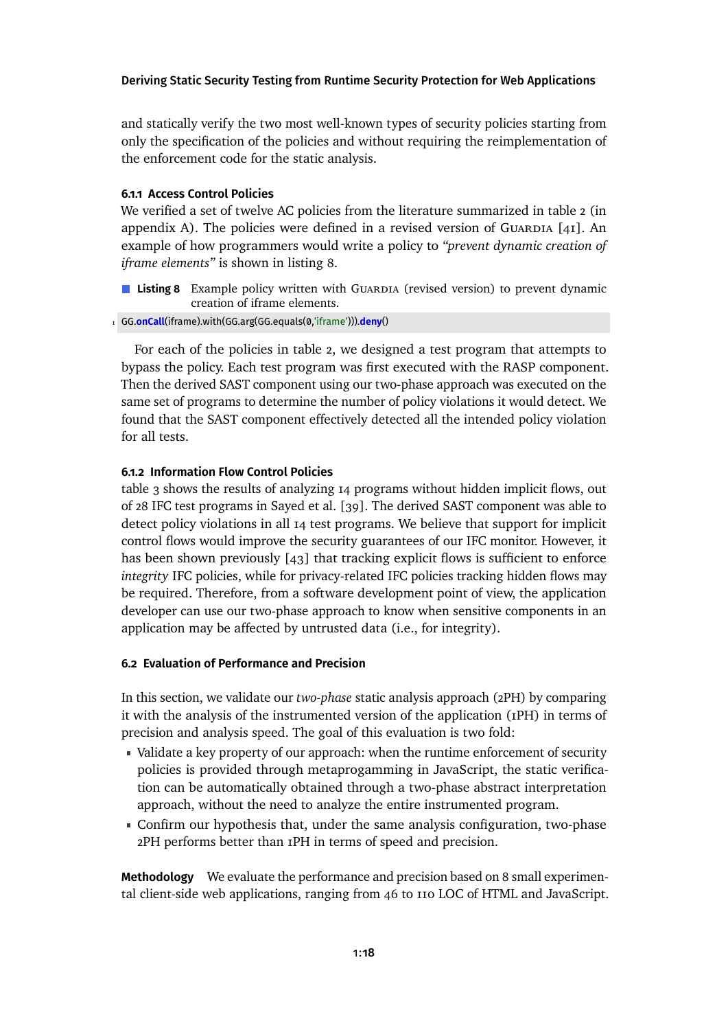and statically verify the two most well-known types of security policies starting from only the specification of the policies and without requiring the reimplementation of the enforcement code for the static analysis.

### **6.1.1 Access Control Policies**

We verified a set of twelve AC policies from the literature summarized in [table 2](#page-30-1) (in [appendix A\)](#page-30-2). The policies were defined in a revised version of GUARDIA  $[41]$ . An example of how programmers would write a policy to *"prevent dynamic creation of iframe elements"* is shown in [listing 8.](#page-17-1)

- <span id="page-17-1"></span>**Listing 8** Example policy written with Guardia (revised version) to prevent dynamic creation of iframe elements.
- 1 GG.**onCall**(iframe).with(GG.arg(GG.equals(0,'iframe'))).**deny**()

For each of the policies in [table 2,](#page-30-1) we designed a test program that attempts to bypass the policy. Each test program was first executed with the RASP component. Then the derived SAST component using our two-phase approach was executed on the same set of programs to determine the number of policy violations it would detect. We found that the SAST component effectively detected all the intended policy violation for all tests.

### **6.1.2 Information Flow Control Policies**

[table 3](#page-31-0) shows the results of analyzing 14 programs without hidden implicit flows, out of 28 IFC test programs in Sayed et al. [\[39\]](#page-28-6). The derived SAST component was able to detect policy violations in all 14 test programs. We believe that support for implicit control flows would improve the security guarantees of our IFC monitor. However, it has been shown previously  $[43]$  that tracking explicit flows is sufficient to enforce *integrity* IFC policies, while for privacy-related IFC policies tracking hidden flows may be required. Therefore, from a software development point of view, the application developer can use our two-phase approach to know when sensitive components in an application may be affected by untrusted data (i.e., for integrity).

### <span id="page-17-0"></span>**6.2 Evaluation of Performance and Precision**

In this section, we validate our *two-phase* static analysis approach (2PH) by comparing it with the analysis of the instrumented version of the application (1PH) in terms of precision and analysis speed. The goal of this evaluation is two fold:

- Validate a key property of our approach: when the runtime enforcement of security policies is provided through metaprogamming in JavaScript, the static verification can be automatically obtained through a two-phase abstract interpretation approach, without the need to analyze the entire instrumented program.
- Confirm our hypothesis that, under the same analysis configuration, two-phase 2PH performs better than 1PH in terms of speed and precision.

**Methodology** We evaluate the performance and precision based on 8 small experimental client-side web applications, ranging from 46 to 110 LOC of HTML and JavaScript.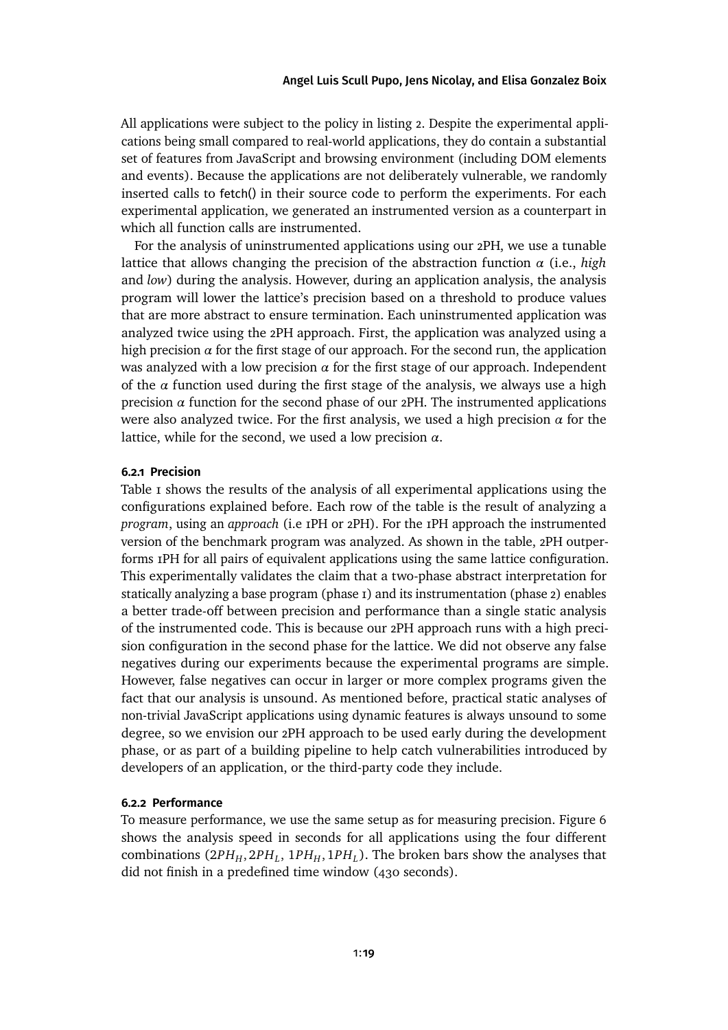### [Angel Luis Scull Pupo,](#page-40-0) [Jens Nicolay,](#page-40-1) and [Elisa Gonzalez Boix](#page-40-2)

All applications were subject to the policyin [listing 2.](#page-6-0) Despite the experimental applications being small compared to real-world applications, they do contain a substantial set of features from JavaScript and browsing environment (including DOM elements and events). Because the applications are not deliberately vulnerable, we randomly inserted calls to fetch() in their source code to perform the experiments. For each experimental application, we generated an instrumented version as a counterpart in which all function calls are instrumented.

For the analysis of uninstrumented applications using our 2PH, we use a tunable lattice that allows changing the precision of the abstraction function *α* (i.e., *high* and *low*) during the analysis. However, during an application analysis, the analysis program will lower the lattice's precision based on a threshold to produce values that are more abstract to ensure termination. Each uninstrumented application was analyzed twice using the 2PH approach. First, the application was analyzed using a high precision  $\alpha$  for the first stage of our approach. For the second run, the application was analyzed with a low precision  $\alpha$  for the first stage of our approach. Independent of the  $\alpha$  function used during the first stage of the analysis, we always use a high precision *α* function for the second phase of our 2PH. The instrumented applications were also analyzed twice. For the first analysis, we used a high precision *α* for the lattice, while for the second, we used a low precision *α*.

#### **6.2.1 Precision**

[Table 1](#page-19-0) shows the results of the analysis of all experimental applications using the configurations explained before. Each row of the table is the result of analyzing a *program*, using an *approach* (i.e 1PH or 2PH). For the 1PH approach the instrumented version of the benchmark program was analyzed. As shown in the table, 2PH outperforms 1PH for all pairs of equivalent applications using the same lattice configuration. This experimentally validates the claim that a two-phase abstract interpretation for statically analyzing a base program (phase 1) and its instrumentation (phase 2) enables a better trade-off between precision and performance than a single static analysis of the instrumented code. This is because our 2PH approach runs with a high precision configuration in the second phase for the lattice. We did not observe any false negatives during our experiments because the experimental programs are simple. However, false negatives can occur in larger or more complex programs given the fact that our analysis is unsound. As mentioned before, practical static analyses of non-trivial JavaScript applications using dynamic features is always unsound to some degree, so we envision our 2PH approach to be used early during the development phase, or as part of a building pipeline to help catch vulnerabilities introduced by developers of an application, or the third-party code they include.

#### **6.2.2 Performance**

To measure performance, we use the same setup as for measuring precision. [Figure 6](#page-20-1) shows the analysis speed in seconds for all applications using the four different combinations (2PH<sub>H</sub>, 2PH<sub>L</sub>, 1PH<sub>H</sub>, 1PH<sub>L</sub>). The broken bars show the analyses that did not finish in a predefined time window (430 seconds).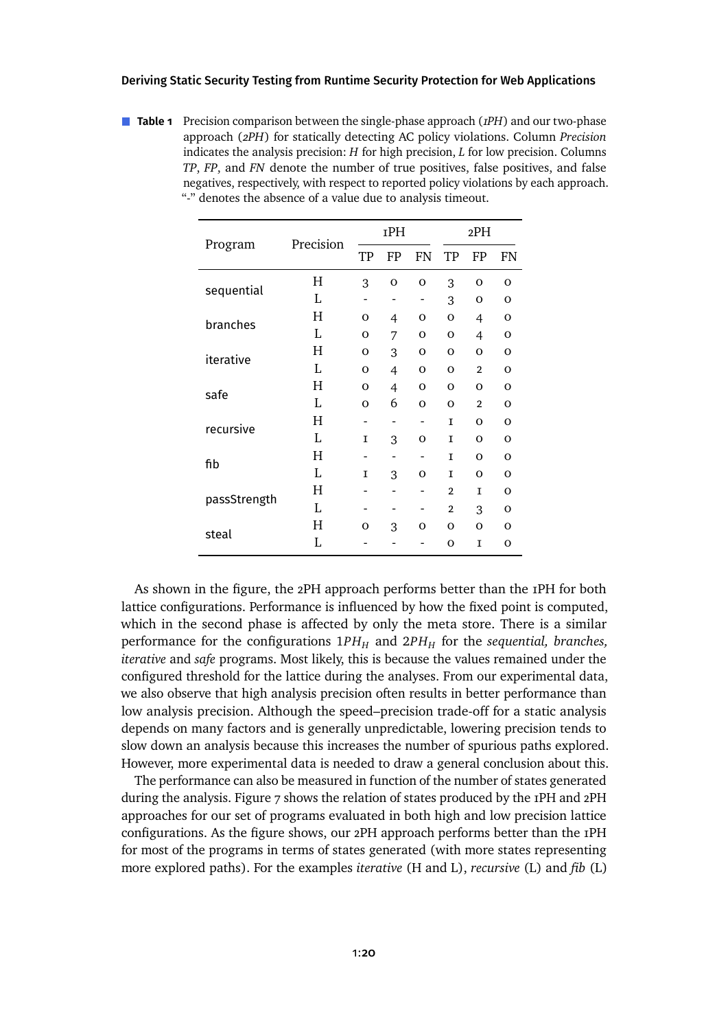<span id="page-19-0"></span>**Table 1** Precision comparison between the single-phase approach (*1PH*) and our two-phase approach (*2PH*) for statically detecting AC policy violations. Column *Precision* indicates the analysis precision: *H* for high precision, *L* for low precision. Columns *TP*, *FP*, and *FN* denote the number of true positives, false positives, and false negatives, respectively, with respect to reported policy violations by each approach. "-" denotes the absence of a value due to analysis timeout.

|              | Precision | IPH      |                |              | 2PH            |                |                |
|--------------|-----------|----------|----------------|--------------|----------------|----------------|----------------|
| Program      |           | TP       | FP             | FN           | TP             | FP             | <b>FN</b>      |
|              | H         | 3        | $\mathbf{o}$   | $\mathbf{o}$ | 3              | $\mathbf{o}$   | $\mathbf{O}$   |
| sequential   | L         |          | -              |              | 3              | O              | $\mathbf 0$    |
| branches     | Н         | $\Omega$ | 4              | $\Omega$     | $\mathbf{o}$   | 4              | $\mathbf{O}$   |
|              | L         | $\Omega$ | 7              | $\Omega$     | O              | 4              | $\mathbf{O}$   |
| iterative    | H         | $\Omega$ | 3              | $\Omega$     | $\mathbf{o}$   | O              | $\mathbf{O}$   |
|              | L         | $\Omega$ | $\overline{4}$ | $\Omega$     | O              | $\overline{2}$ | $\overline{O}$ |
| safe         | Η         | $\Omega$ | $\overline{4}$ | $\Omega$     | O              | O              | $\Omega$       |
|              | L         | $\Omega$ | 6              | $\Omega$     | $\Omega$       | $\overline{2}$ | $\mathbf{o}$   |
| recursive    | H         |          |                |              | I              | $\Omega$       | $\mathbf{o}$   |
|              | Ī.        | I        | 3              | $\Omega$     | I              | $\Omega$       | $\Omega$       |
| fib          | Н         |          | -              |              | I              | $\Omega$       | $\Omega$       |
|              | L         | I        | 3              | $\Omega$     | I              | $\Omega$       | $\Omega$       |
| passStrength | H         |          |                |              | $\overline{2}$ | I              | $\Omega$       |
|              | L         |          |                |              | $\overline{2}$ | 3              | $\Omega$       |
| steal        | Н         | $\Omega$ | 3              | O            | $\Omega$       | $\Omega$       | $\Omega$       |
|              | L         |          |                |              | O              | I              | $\Omega$       |

As shown in the figure, the 2PH approach performs better than the 1PH for both lattice configurations. Performance is influenced by how the fixed point is computed, which in the second phase is affected by only the meta store. There is a similar performance for the configurations  $1PH<sub>H</sub>$  and  $2PH<sub>H</sub>$  for the *sequential*, *branches*, *iterative* and *safe* programs. Most likely, this is because the values remained under the configured threshold for the lattice during the analyses. From our experimental data, we also observe that high analysis precision often results in better performance than low analysis precision. Although the speed–precision trade-off for a static analysis depends on many factors and is generally unpredictable, lowering precision tends to slow down an analysis because this increases the number of spurious paths explored. However, more experimental data is needed to draw a general conclusion about this.

The performance can also be measured in function of the number of states generated during the analysis. [Figure 7](#page-21-0) shows the relation of states produced by the 1PH and 2PH approaches for our set of programs evaluated in both high and low precision lattice configurations. As the figure shows, our 2PH approach performs better than the 1PH for most of the programs in terms of states generated (with more states representing more explored paths). For the examples *iterative* (H and L), *recursive* (L) and *fib* (L)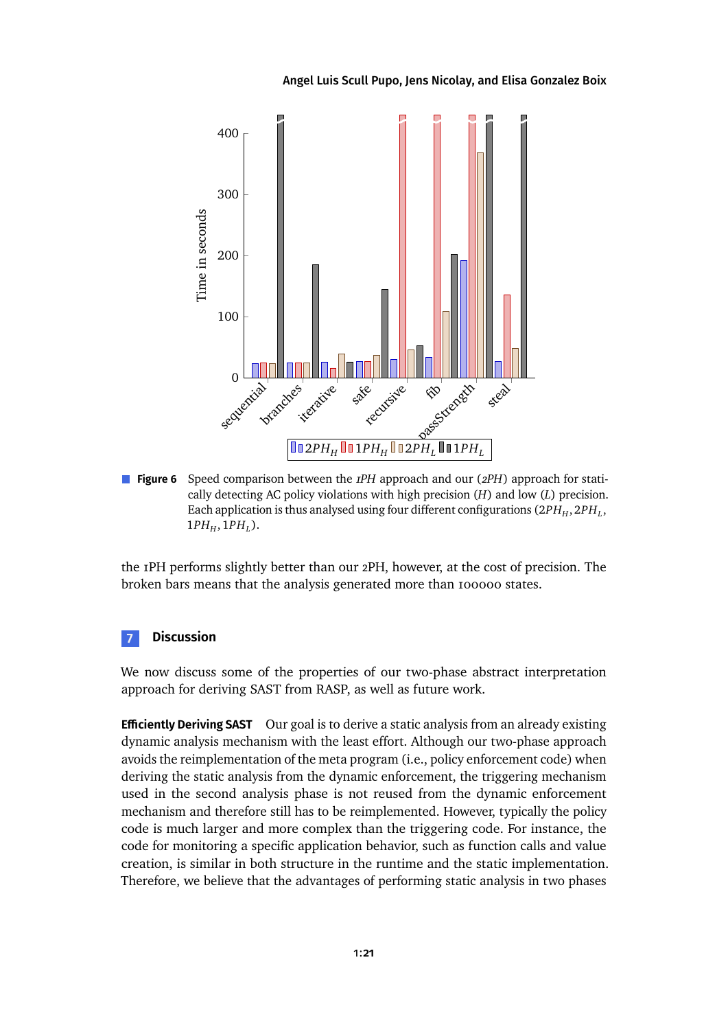#### [Angel Luis Scull Pupo,](#page-40-0) [Jens Nicolay,](#page-40-1) and [Elisa Gonzalez Boix](#page-40-2)

<span id="page-20-1"></span>

**Figure 6** Speed comparison between the *1PH* approach and our (*2PH*) approach for statically detecting AC policy violations with high precision (*H*) and low (*L*) precision. Each application is thus analysed using four different configurations  $(2PH_H, 2PH_L,$  $1PH<sub>H</sub>, 1PH<sub>L</sub>$ ).

the 1PH performs slightly better than our 2PH, however, at the cost of precision. The broken bars means that the analysis generated more than 100000 states.

### <span id="page-20-0"></span>**7 Discussion**

We now discuss some of the properties of our two-phase abstract interpretation approach for deriving SAST from RASP, as well as future work.

**Efficiently Deriving SAST** Our goal is to derive a static analysis from an already existing dynamic analysis mechanism with the least effort. Although our two-phase approach avoids the reimplementation of the meta program (i.e., policy enforcement code) when deriving the static analysis from the dynamic enforcement, the triggering mechanism used in the second analysis phase is not reused from the dynamic enforcement mechanism and therefore still has to be reimplemented. However, typically the policy code is much larger and more complex than the triggering code. For instance, the code for monitoring a specific application behavior, such as function calls and value creation, is similar in both structure in the runtime and the static implementation. Therefore, we believe that the advantages of performing static analysis in two phases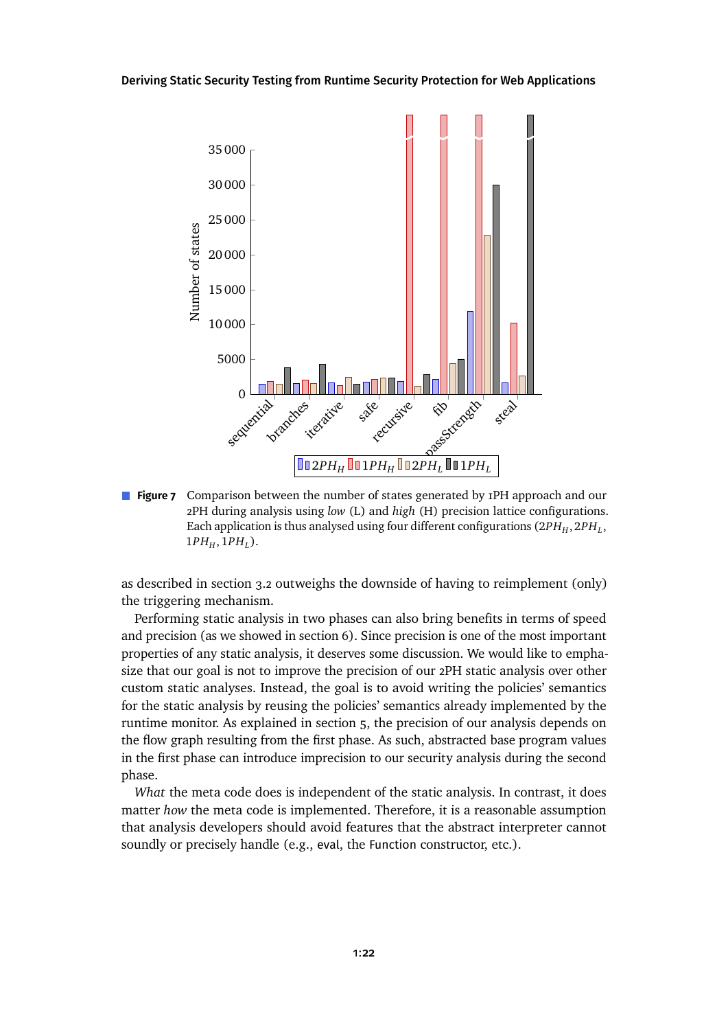<span id="page-21-0"></span>

**Figure 7** Comparison between the number of states generated by 1PH approach and our 2PH during analysis using *low* (L) and *high* (H) precision lattice configurations. Each application is thus analysed using four different configurations  $\left(2PH_{H}, 2PH_{L}, 2HH\right)$  $1PH<sub>H</sub>, 1PH<sub>L</sub>$ ).

as described in [section 3.2](#page-8-0) outweighs the downside of having to reimplement (only) the triggering mechanism.

Performing static analysis in two phases can also bring benefits in terms of speed and precision (as we showedin [section 6\)](#page-16-0). Since precision is one of the most important properties of any static analysis, it deserves some discussion. We would like to emphasize that our goal is not to improve the precision of our 2PH static analysis over other custom static analyses. Instead, the goal is to avoid writing the policies' semantics for the static analysis by reusing the policies' semantics already implemented by the runtime monitor. As explainedin [section 5,](#page-13-0) the precision of our analysis depends on the flow graph resulting from the first phase. As such, abstracted base program values in the first phase can introduce imprecision to our security analysis during the second phase.

*What* the meta code does is independent of the static analysis. In contrast, it does matter *how* the meta code is implemented. Therefore, it is a reasonable assumption that analysis developers should avoid features that the abstract interpreter cannot soundly or precisely handle (e.g., eval, the Function constructor, etc.).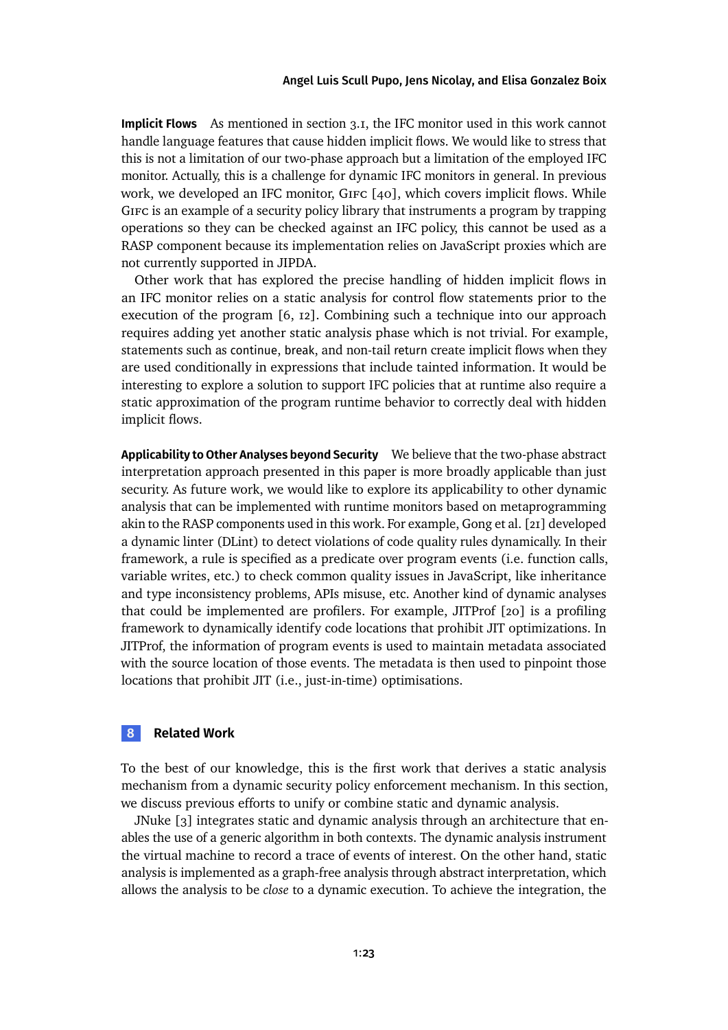**Implicit Flows** As mentioned in [section 3.1,](#page-5-1) the IFC monitor used in this work cannot handle language features that cause hidden implicit flows. We would like to stress that this is not a limitation of our two-phase approach but a limitation of the employed IFC monitor. Actually, this is a challenge for dynamic IFC monitors in general. In previous work, we developed an IFC monitor, GIFC [\[40\]](#page-29-3), which covers implicit flows. While Gifc is an example of a security policy library that instruments a program by trapping operations so they can be checked against an IFC policy, this cannot be used as a RASP component because its implementation relies on JavaScript proxies which are not currently supported in JIPDA.

Other work that has explored the precise handling of hidden implicit flows in an IFC monitor relies on a static analysis for control flow statements prior to the execution of the program [\[6,](#page-25-4) [12\]](#page-25-5). Combining such a technique into our approach requires adding yet another static analysis phase which is not trivial. For example, statements such as continue, break, and non-tail return create implicit flows when they are used conditionally in expressions that include tainted information. It would be interesting to explore a solution to support IFC policies that at runtime also require a static approximation of the program runtime behavior to correctly deal with hidden implicit flows.

**Applicability to Other Analyses beyond Security** We believe that the two-phase abstract interpretation approach presented in this paper is more broadly applicable than just security. As future work, we would like to explore its applicability to other dynamic analysis that can be implemented with runtime monitors based on metaprogramming akin to the RASP components used in this work. For example, Gong et al. [\[21\]](#page-26-5) developed a dynamic linter (DLint) to detect violations of code quality rules dynamically. In their framework, a rule is specified as a predicate over program events (i.e. function calls, variable writes, etc.) to check common quality issues in JavaScript, like inheritance and type inconsistency problems, APIs misuse, etc. Another kind of dynamic analyses that could be implemented are profilers. For example, JITProf [\[20\]](#page-26-6) is a profiling framework to dynamically identify code locations that prohibit JIT optimizations. In JITProf, the information of program events is used to maintain metadata associated with the source location of those events. The metadata is then used to pinpoint those locations that prohibit JIT (i.e., just-in-time) optimisations.

### **8 Related Work**

To the best of our knowledge, this is the first work that derives a static analysis mechanism from a dynamic security policy enforcement mechanism. In this section, we discuss previous efforts to unify or combine static and dynamic analysis.

JNuke [\[3\]](#page-24-1) integrates static and dynamic analysis through an architecture that enables the use of a generic algorithm in both contexts. The dynamic analysis instrument the virtual machine to record a trace of events of interest. On the other hand, static analysis is implemented as a graph-free analysis through abstract interpretation, which allows the analysis to be *close* to a dynamic execution. To achieve the integration, the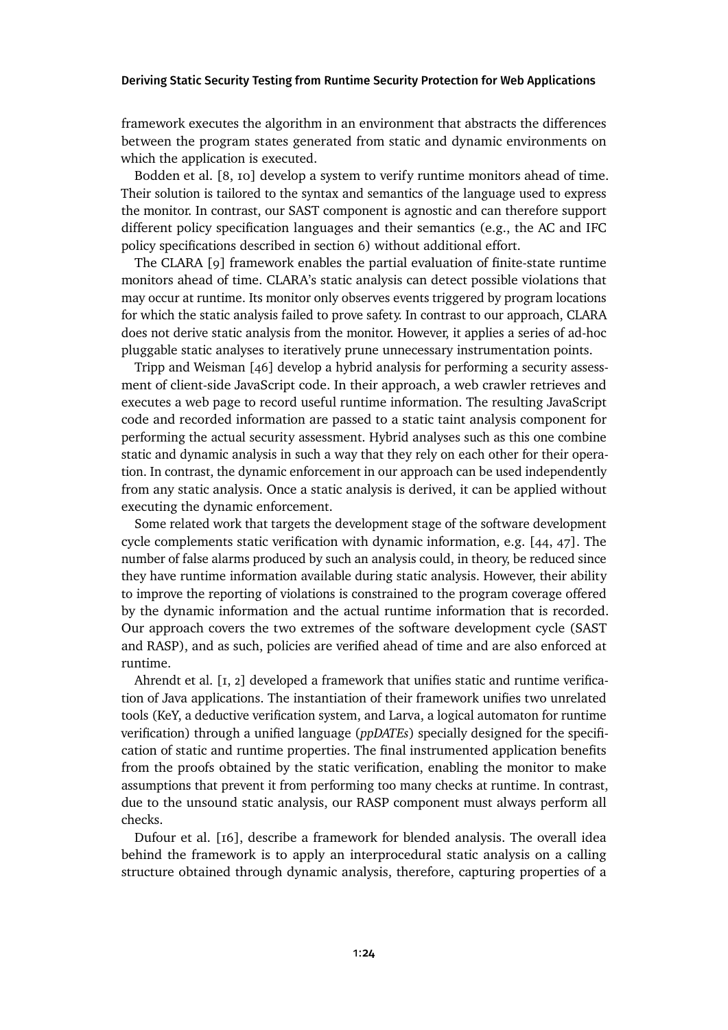framework executes the algorithm in an environment that abstracts the differences between the program states generated from static and dynamic environments on which the application is executed.

Bodden et al. [\[8,](#page-25-6) [10\]](#page-25-3) develop a system to verify runtime monitors ahead of time. Their solution is tailored to the syntax and semantics of the language used to express the monitor. In contrast, our SAST component is agnostic and can therefore support different policy specification languages and their semantics (e.g., the AC and IFC policy specifications described in [section 6\)](#page-16-0) without additional effort.

The CLARA [\[9\]](#page-25-7) framework enables the partial evaluation of finite-state runtime monitors ahead of time. CLARA's static analysis can detect possible violations that may occur at runtime. Its monitor only observes events triggered by program locations for which the static analysis failed to prove safety. In contrast to our approach, CLARA does not derive static analysis from the monitor. However, it applies a series of ad-hoc pluggable static analyses to iteratively prune unnecessary instrumentation points.

Tripp and Weisman [\[46\]](#page-29-6) develop a hybrid analysis for performing a security assessment of client-side JavaScript code. In their approach, a web crawler retrieves and executes a web page to record useful runtime information. The resulting JavaScript code and recorded information are passed to a static taint analysis component for performing the actual security assessment. Hybrid analyses such as this one combine static and dynamic analysis in such a way that they rely on each other for their operation. In contrast, the dynamic enforcement in our approach can be used independently from any static analysis. Once a static analysis is derived, it can be applied without executing the dynamic enforcement.

Some related work that targets the development stage of the software development cycle complements static verification with dynamic information, e.g. [\[44,](#page-29-7) [47\]](#page-29-8). The number of false alarms produced by such an analysis could, in theory, be reduced since they have runtime information available during static analysis. However, their ability to improve the reporting of violations is constrained to the program coverage offered by the dynamic information and the actual runtime information that is recorded. Our approach covers the two extremes of the software development cycle (SAST and RASP), and as such, policies are verified ahead of time and are also enforced at runtime.

Ahrendt et al. [\[1,](#page-24-2) [2\]](#page-24-3) developed a framework that unifies static and runtime verification of Java applications. The instantiation of their framework unifies two unrelated tools (KeY, a deductive verification system, and Larva, a logical automaton for runtime verification) through a unified language (*ppDATEs*) specially designed for the specification of static and runtime properties. The final instrumented application benefits from the proofs obtained by the static verification, enabling the monitor to make assumptions that prevent it from performing too many checks at runtime. In contrast, due to the unsound static analysis, our RASP component must always perform all checks.

Dufour et al. [\[16\]](#page-26-7), describe a framework for blended analysis. The overall idea behind the framework is to apply an interprocedural static analysis on a calling structure obtained through dynamic analysis, therefore, capturing properties of a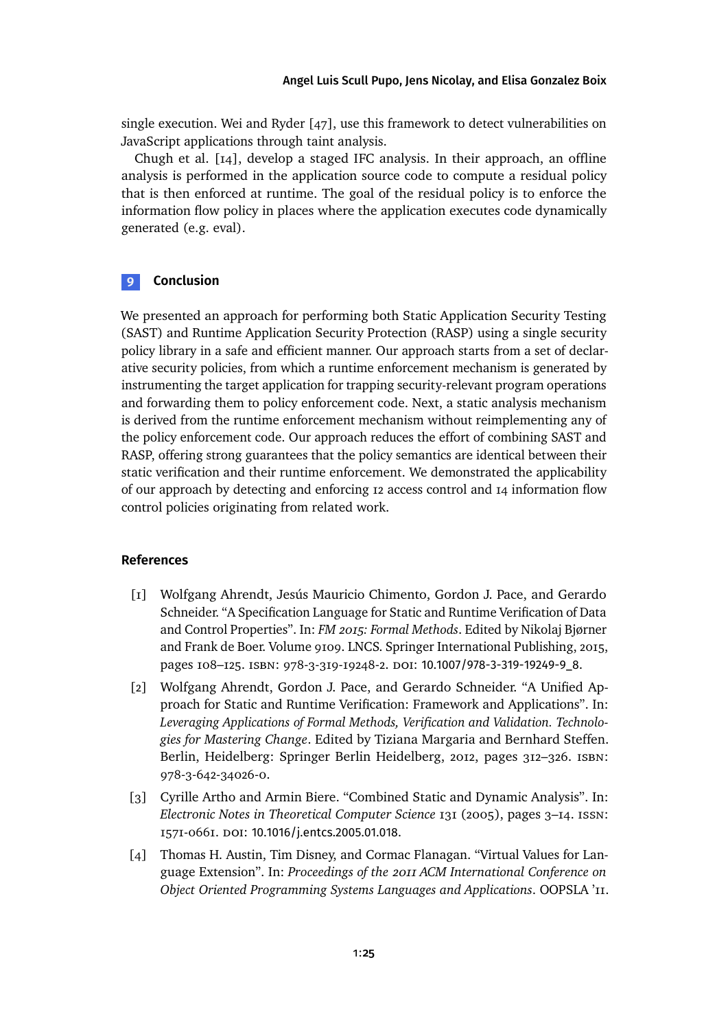single execution. Wei and Ryder [\[47\]](#page-29-8), use this framework to detect vulnerabilities on JavaScript applications through taint analysis.

Chugh et al. [\[14\]](#page-26-8), develop a staged IFC analysis. In their approach, an offline analysis is performed in the application source code to compute a residual policy that is then enforced at runtime. The goal of the residual policy is to enforce the information flow policy in places where the application executes code dynamically generated (e.g. eval).

### **9 Conclusion**

We presented an approach for performing both Static Application Security Testing (SAST) and Runtime Application Security Protection (RASP) using a single security policy library in a safe and efficient manner. Our approach starts from a set of declarative security policies, from which a runtime enforcement mechanism is generated by instrumenting the target application for trapping security-relevant program operations and forwarding them to policy enforcement code. Next, a static analysis mechanism is derived from the runtime enforcement mechanism without reimplementing any of the policy enforcement code. Our approach reduces the effort of combining SAST and RASP, offering strong guarantees that the policy semantics are identical between their static verification and their runtime enforcement. We demonstrated the applicability of our approach by detecting and enforcing 12 access control and 14 information flow control policies originating from related work.

### **References**

- <span id="page-24-2"></span>[1] Wolfgang Ahrendt, Jesús Mauricio Chimento, Gordon J. Pace, and Gerardo Schneider. "A Specification Language for Static and Runtime Verification of Data and Control Properties". In: *FM 2015: Formal Methods*. Edited by Nikolaj Bjørner and Frank de Boer. Volume 9109. LNCS. Springer International Publishing, 2015, pages 108–125. isbn: 978-3-319-19248-2. doi: [10.1007/978-3-319-19249-9\\_8](https://doi.org/10.1007/978-3-319-19249-9_8).
- <span id="page-24-3"></span>[2] Wolfgang Ahrendt, Gordon J. Pace, and Gerardo Schneider. "A Unified Approach for Static and Runtime Verification: Framework and Applications". In: *Leveraging Applications of Formal Methods, Verification and Validation. Technologies for Mastering Change*. Edited by Tiziana Margaria and Bernhard Steffen. Berlin, Heidelberg: Springer Berlin Heidelberg, 2012, pages 312–326. isbn: 978-3-642-34026-0.
- <span id="page-24-1"></span>[3] Cyrille Artho and Armin Biere. "Combined Static and Dynamic Analysis". In: *Electronic Notes in Theoretical Computer Science* 131 (2005), pages 3–14. issn: 1571-0661. doi: [10.1016/j.entcs.2005.01.018](https://doi.org/10.1016/j.entcs.2005.01.018).
- <span id="page-24-0"></span>[4] Thomas H. Austin, Tim Disney, and Cormac Flanagan. "Virtual Values for Language Extension". In: *Proceedings of the 2011 ACM International Conference on Object Oriented Programming Systems Languages and Applications*. OOPSLA '11.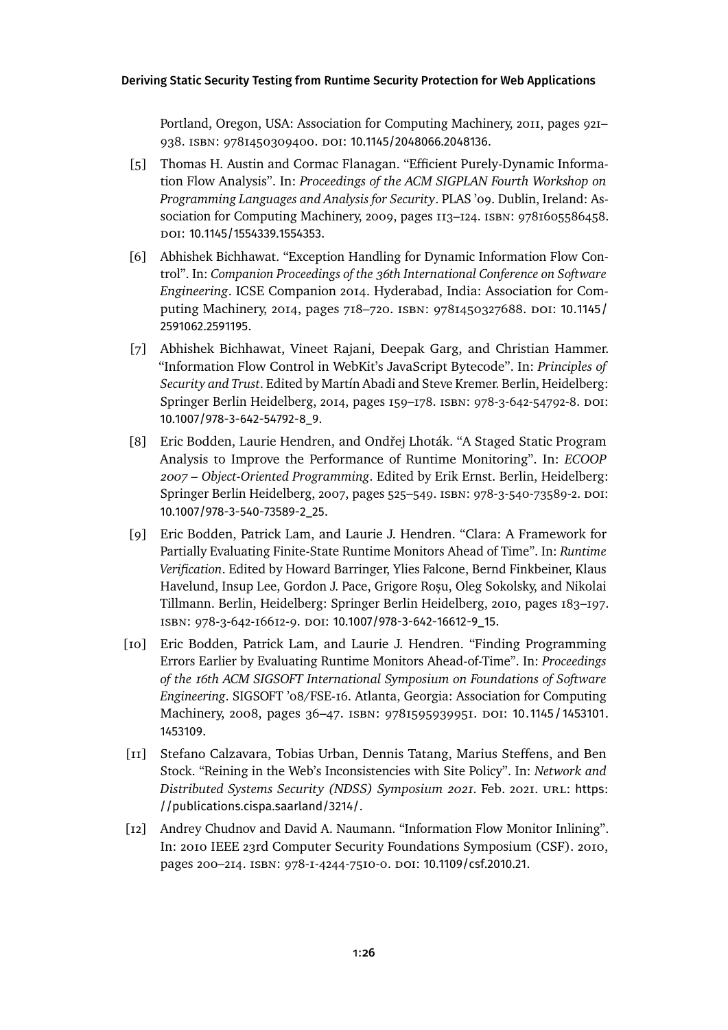Portland, Oregon, USA: Association for Computing Machinery, 2011, pages 921– 938. isbn: 9781450309400. doi: [10.1145/2048066.2048136](https://doi.org/10.1145/2048066.2048136).

- <span id="page-25-1"></span>[5] Thomas H. Austin and Cormac Flanagan. "Efficient Purely-Dynamic Information Flow Analysis". In: *Proceedings of the ACM SIGPLAN Fourth Workshop on Programming Languages and Analysis for Security*. PLAS '09. Dublin, Ireland: Association for Computing Machinery, 2009, pages 113–124. isbn: 9781605586458. doi: [10.1145/1554339.1554353](https://doi.org/10.1145/1554339.1554353).
- <span id="page-25-4"></span>[6] Abhishek Bichhawat. "Exception Handling for Dynamic Information Flow Control". In: *Companion Proceedings of the 36th International Conference on Software Engineering*. ICSE Companion 2014. Hyderabad, India: Association for Com-puting Machinery, 2014, pages 718-720. ISBN: 9781450327688. DOI: [10.1145/](https://doi.org/10.1145/2591062.2591195) [2591062.2591195](https://doi.org/10.1145/2591062.2591195).
- <span id="page-25-2"></span>[7] Abhishek Bichhawat, Vineet Rajani, Deepak Garg, and Christian Hammer. "Information Flow Control in WebKit's JavaScript Bytecode". In: *Principles of Security and Trust*. Edited by Martín Abadi and Steve Kremer. Berlin, Heidelberg: Springer Berlin Heidelberg, 2014, pages 159–178. ISBN: 978-3-642-54792-8. DOI: [10.1007/978-3-642-54792-8\\_9](https://doi.org/10.1007/978-3-642-54792-8_9).
- <span id="page-25-6"></span>[8] Eric Bodden, Laurie Hendren, and Ondřej Lhoták. "A Staged Static Program Analysis to Improve the Performance of Runtime Monitoring". In: *ECOOP 2007 – Object-Oriented Programming*. Edited by Erik Ernst. Berlin, Heidelberg: Springer Berlin Heidelberg, 2007, pages 525–549. ISBN: 978-3-540-73589-2. DOI: [10.1007/978-3-540-73589-2\\_25](https://doi.org/10.1007/978-3-540-73589-2_25).
- <span id="page-25-7"></span>[9] Eric Bodden, Patrick Lam, and Laurie J. Hendren. "Clara: A Framework for Partially Evaluating Finite-State Runtime Monitors Ahead of Time". In: *Runtime Verification*. Edited by Howard Barringer, Ylies Falcone, Bernd Finkbeiner, Klaus Havelund, Insup Lee, Gordon J. Pace, Grigore Roşu, Oleg Sokolsky, and Nikolai Tillmann. Berlin, Heidelberg: Springer Berlin Heidelberg, 2010, pages 183–197. isbn: 978-3-642-16612-9. doi: [10.1007/978-3-642-16612-9\\_15](https://doi.org/10.1007/978-3-642-16612-9_15).
- <span id="page-25-3"></span>[10] Eric Bodden, Patrick Lam, and Laurie J. Hendren. "Finding Programming Errors Earlier by Evaluating Runtime Monitors Ahead-of-Time". In: *Proceedings of the 16th ACM SIGSOFT International Symposium on Foundations of Software Engineering*. SIGSOFT '08/FSE-16. Atlanta, Georgia: Association for Computing Machinery, 2008, pages 36-47. ISBN: 9781595939951. DOI: [10.1145/1453101.](https://doi.org/10.1145/1453101.1453109) [1453109](https://doi.org/10.1145/1453101.1453109).
- <span id="page-25-0"></span>[11] Stefano Calzavara, Tobias Urban, Dennis Tatang, Marius Steffens, and Ben Stock. "Reining in the Web's Inconsistencies with Site Policy". In: *Network and Distributed Systems Security (NDSS) Symposium 2021*. Feb. 2021. url: [https:](https://publications.cispa.saarland/3214/) [//publications.cispa.saarland/3214/](https://publications.cispa.saarland/3214/).
- <span id="page-25-5"></span>[12] Andrey Chudnov and David A. Naumann. "Information Flow Monitor Inlining". In: 2010 IEEE 23rd Computer Security Foundations Symposium (CSF). 2010, pages 200–214. isbn: 978-1-4244-7510-0. doi: [10.1109/csf.2010.21](https://doi.org/10.1109/csf.2010.21).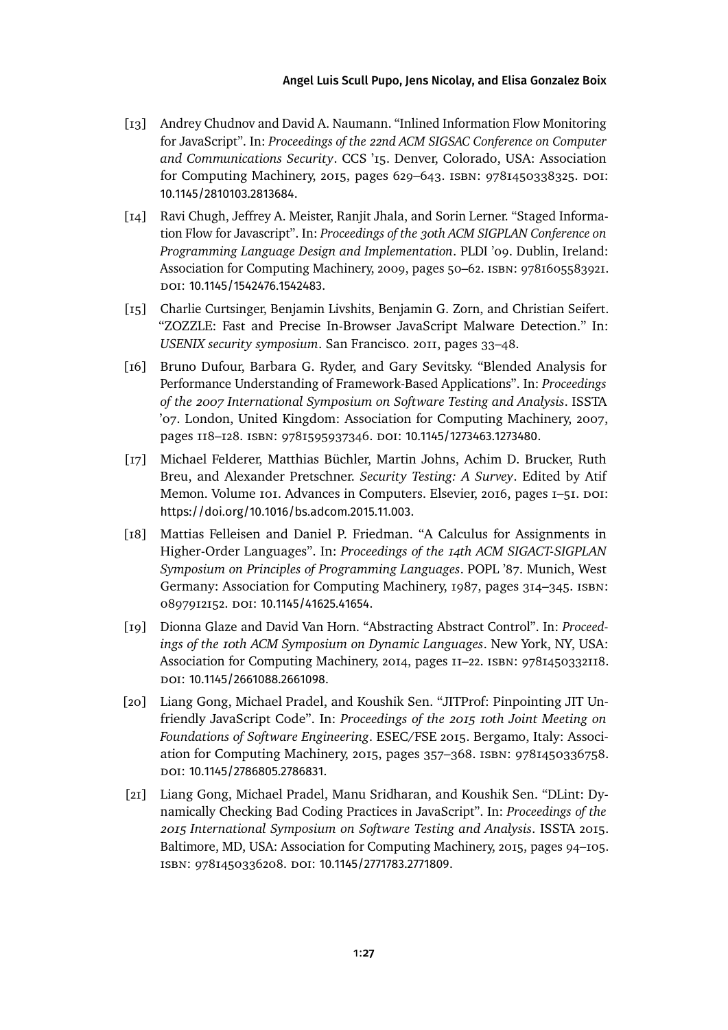### [Angel Luis Scull Pupo,](#page-40-0) [Jens Nicolay,](#page-40-1) and [Elisa Gonzalez Boix](#page-40-2)

- <span id="page-26-1"></span>[13] Andrey Chudnov and David A. Naumann. "Inlined Information Flow Monitoring for JavaScript". In: *Proceedings of the 22nd ACM SIGSAC Conference on Computer and Communications Security*. CCS '15. Denver, Colorado, USA: Association for Computing Machinery, 2015, pages 629–643. isbn: 9781450338325. doi: [10.1145/2810103.2813684](https://doi.org/10.1145/2810103.2813684).
- <span id="page-26-8"></span>[14] Ravi Chugh, Jeffrey A. Meister, Ranjit Jhala, and Sorin Lerner. "Staged Information Flow for Javascript". In: *Proceedings of the 30th ACM SIGPLAN Conference on Programming Language Design and Implementation*. PLDI '09. Dublin, Ireland: Association for Computing Machinery, 2009, pages 50–62. isbn: 9781605583921. doi: [10.1145/1542476.1542483](https://doi.org/10.1145/1542476.1542483).
- <span id="page-26-0"></span>[15] Charlie Curtsinger, Benjamin Livshits, Benjamin G. Zorn, and Christian Seifert. "ZOZZLE: Fast and Precise In-Browser JavaScript Malware Detection." In: *USENIX security symposium*. San Francisco. 2011, pages 33–48.
- <span id="page-26-7"></span>[16] Bruno Dufour, Barbara G. Ryder, and Gary Sevitsky. "Blended Analysis for Performance Understanding of Framework-Based Applications". In: *Proceedings of the 2007 International Symposium on Software Testing and Analysis*. ISSTA '07. London, United Kingdom: Association for Computing Machinery, 2007, pages 118–128. ISBN: 9781595937346. DOI: [10.1145/1273463.1273480](https://doi.org/10.1145/1273463.1273480).
- <span id="page-26-2"></span>[17] Michael Felderer, Matthias Büchler, Martin Johns, Achim D. Brucker, Ruth Breu, and Alexander Pretschner. *Security Testing: A Survey*. Edited by Atif Memon. Volume 101. Advances in Computers. Elsevier, 2016, pages 1–51. DOI: [https://doi.org/10.1016/bs.adcom.2015.11.003](https://doi.org/https://doi.org/10.1016/bs.adcom.2015.11.003).
- <span id="page-26-3"></span>[18] Mattias Felleisen and Daniel P. Friedman. "A Calculus for Assignments in Higher-Order Languages". In: *Proceedings of the 14th ACM SIGACT-SIGPLAN Symposium on Principles of Programming Languages*. POPL '87. Munich, West Germany: Association for Computing Machinery, 1987, pages 314–345. isbn: 0897912152. doi: [10.1145/41625.41654](https://doi.org/10.1145/41625.41654).
- <span id="page-26-4"></span>[19] Dionna Glaze and David Van Horn. "Abstracting Abstract Control". In: *Proceedings of the 10th ACM Symposium on Dynamic Languages*. New York, NY, USA: Association for Computing Machinery, 2014, pages 11–22. isbn: 9781450332118. doi: [10.1145/2661088.2661098](https://doi.org/10.1145/2661088.2661098).
- <span id="page-26-6"></span>[20] Liang Gong, Michael Pradel, and Koushik Sen. "JITProf: Pinpointing JIT Unfriendly JavaScript Code". In: *Proceedings of the 2015 10th Joint Meeting on Foundations of Software Engineering*. ESEC/FSE 2015. Bergamo, Italy: Association for Computing Machinery, 2015, pages 357–368. isbn: 9781450336758. doi: [10.1145/2786805.2786831](https://doi.org/10.1145/2786805.2786831).
- <span id="page-26-5"></span>[21] Liang Gong, Michael Pradel, Manu Sridharan, and Koushik Sen. "DLint: Dynamically Checking Bad Coding Practices in JavaScript". In: *Proceedings of the 2015 International Symposium on Software Testing and Analysis*. ISSTA 2015. Baltimore, MD, USA: Association for Computing Machinery, 2015, pages 94–105. isbn: 9781450336208. doi: [10.1145/2771783.2771809](https://doi.org/10.1145/2771783.2771809).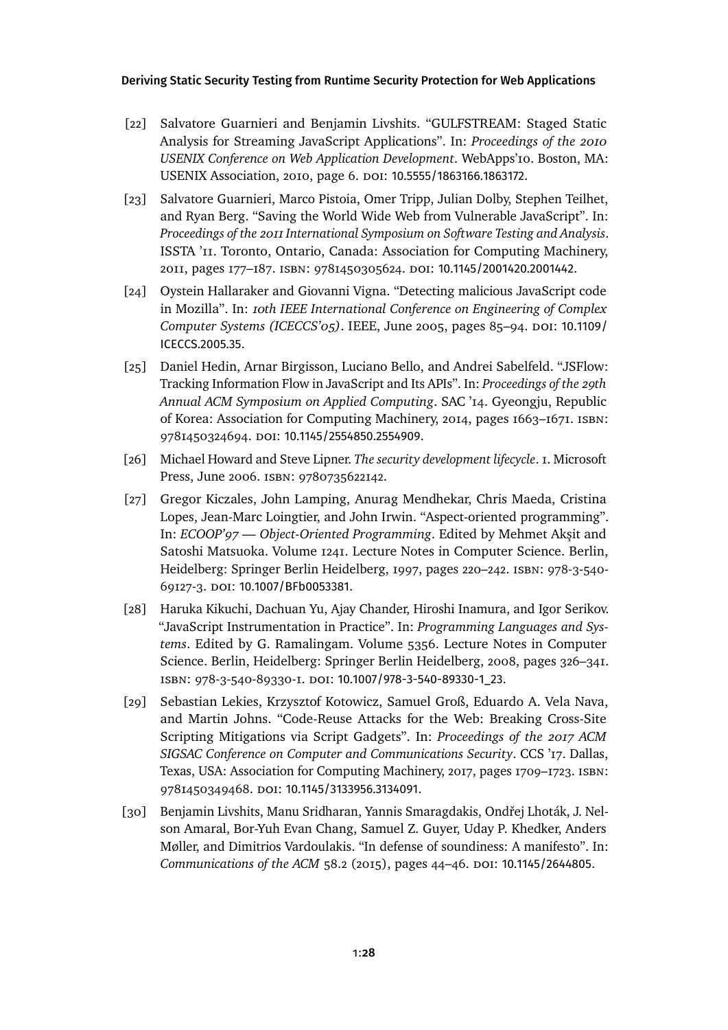- <span id="page-27-1"></span>[22] Salvatore Guarnieri and Benjamin Livshits. "GULFSTREAM: Staged Static Analysis for Streaming JavaScript Applications". In: *Proceedings of the 2010 USENIX Conference on Web Application Development*. WebApps'10. Boston, MA: USENIX Association, 2010, page 6. doi: [10.5555/1863166.1863172](https://doi.org/10.5555/1863166.1863172).
- <span id="page-27-2"></span>[23] Salvatore Guarnieri, Marco Pistoia, Omer Tripp, Julian Dolby, Stephen Teilhet, and Ryan Berg. "Saving the World Wide Web from Vulnerable JavaScript". In: *Proceedings of the 2011 International Symposium on Software Testing and Analysis*. ISSTA '11. Toronto, Ontario, Canada: Association for Computing Machinery, 2011, pages 177–187. isbn: 9781450305624. doi: [10.1145/2001420.2001442](https://doi.org/10.1145/2001420.2001442).
- <span id="page-27-8"></span>[24] Oystein Hallaraker and Giovanni Vigna. "Detecting malicious JavaScript code in Mozilla". In: *10th IEEE International Conference on Engineering of Complex Computer Systems (ICECCS'05)*. IEEE, June 2005, pages 85–94. doi: [10.1109/](https://doi.org/10.1109/ICECCS.2005.35) [ICECCS.2005.35](https://doi.org/10.1109/ICECCS.2005.35).
- <span id="page-27-3"></span>[25] Daniel Hedin, Arnar Birgisson, Luciano Bello, and Andrei Sabelfeld. "JSFlow: Tracking Information Flow in JavaScript and Its APIs". In: *Proceedings of the 29th Annual ACM Symposium on Applied Computing*. SAC '14. Gyeongju, Republic of Korea: Association for Computing Machinery, 2014, pages 1663–1671. isbn: 9781450324694. doi: [10.1145/2554850.2554909](https://doi.org/10.1145/2554850.2554909).
- <span id="page-27-5"></span>[26] Michael Howard and Steve Lipner. *The security development lifecycle*. 1. Microsoft Press, June 2006. isbn: 9780735622142.
- <span id="page-27-7"></span>[27] Gregor Kiczales, John Lamping, Anurag Mendhekar, Chris Maeda, Cristina Lopes, Jean-Marc Loingtier, and John Irwin. "Aspect-oriented programming". In: *ECOOP'97 — Object-Oriented Programming*. Edited by Mehmet Akşit and Satoshi Matsuoka. Volume 1241. Lecture Notes in Computer Science. Berlin, Heidelberg: Springer Berlin Heidelberg, 1997, pages 220–242. isbn: 978-3-540- 69127-3. doi: [10.1007/BFb0053381](https://doi.org/10.1007/BFb0053381).
- <span id="page-27-6"></span>[28] Haruka Kikuchi, Dachuan Yu, Ajay Chander, Hiroshi Inamura, and Igor Serikov. "JavaScript Instrumentation in Practice". In: *Programming Languages and Systems*. Edited by G. Ramalingam. Volume 5356. Lecture Notes in Computer Science. Berlin, Heidelberg: Springer Berlin Heidelberg, 2008, pages 326–341. isbn: 978-3-540-89330-1. doi: [10.1007/978-3-540-89330-1\\_23](https://doi.org/10.1007/978-3-540-89330-1_23).
- <span id="page-27-0"></span>[29] Sebastian Lekies, Krzysztof Kotowicz, Samuel Groß, Eduardo A. Vela Nava, and Martin Johns. "Code-Reuse Attacks for the Web: Breaking Cross-Site Scripting Mitigations via Script Gadgets". In: *Proceedings of the 2017 ACM SIGSAC Conference on Computer and Communications Security*. CCS '17. Dallas, Texas, USA: Association for Computing Machinery, 2017, pages 1709–1723. isbn: 9781450349468. doi: [10.1145/3133956.3134091](https://doi.org/10.1145/3133956.3134091).
- <span id="page-27-4"></span>[30] Benjamin Livshits, Manu Sridharan, Yannis Smaragdakis, Ondřej Lhoták, J. Nelson Amaral, Bor-Yuh Evan Chang, Samuel Z. Guyer, Uday P. Khedker, Anders Møller, and Dimitrios Vardoulakis. "In defense of soundiness: A manifesto". In: *Communications of the ACM* 58.2 (2015), pages 44–46. poi: [10.1145/2644805](https://doi.org/10.1145/2644805).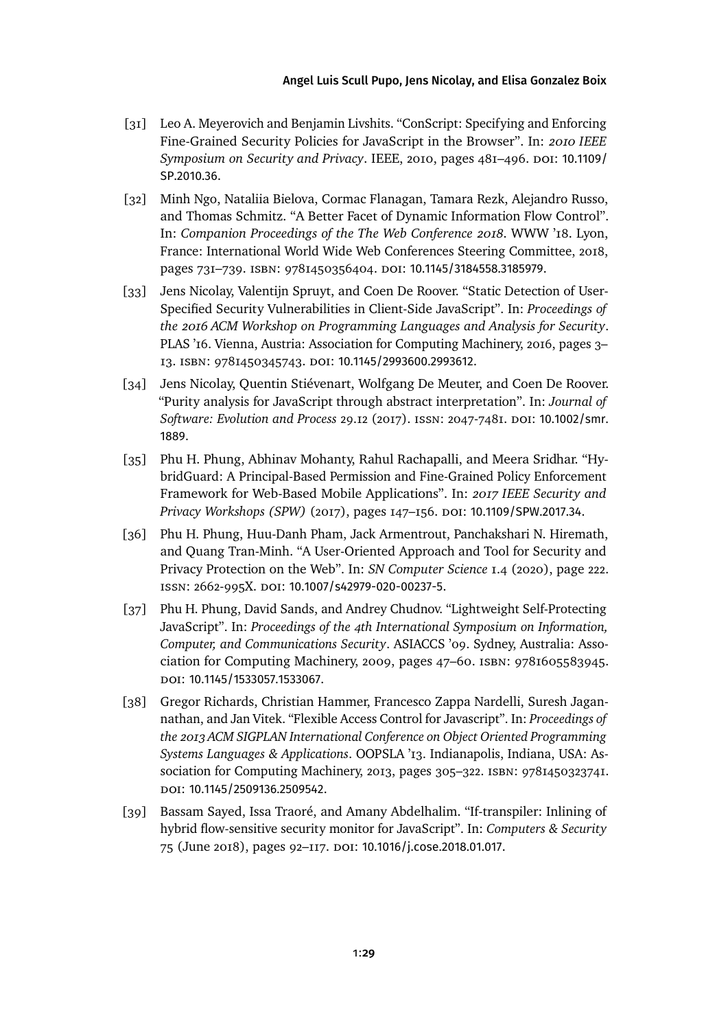- <span id="page-28-8"></span>[31] Leo A. Meyerovich and Benjamin Livshits. "ConScript: Specifying and Enforcing Fine-Grained Security Policies for JavaScript in the Browser". In: *2010 IEEE Symposium on Security and Privacy. IEEE, 2010, pages 481–496. DOI: [10.1109/](https://doi.org/10.1109/SP.2010.36)* [SP.2010.36](https://doi.org/10.1109/SP.2010.36).
- <span id="page-28-2"></span>[32] Minh Ngo, Nataliia Bielova, Cormac Flanagan, Tamara Rezk, Alejandro Russo, and Thomas Schmitz. "A Better Facet of Dynamic Information Flow Control". In: *Companion Proceedings of the The Web Conference 2018*. WWW '18. Lyon, France: International World Wide Web Conferences Steering Committee, 2018, pages 731-739. ISBN: 9781450356404. DOI: [10.1145/3184558.3185979](https://doi.org/10.1145/3184558.3185979).
- <span id="page-28-1"></span>[33] Jens Nicolay, Valentijn Spruyt, and Coen De Roover. "Static Detection of User-Specified Security Vulnerabilities in Client-Side JavaScript". In: *Proceedings of the 2016 ACM Workshop on Programming Languages and Analysis for Security*. PLAS '16. Vienna, Austria: Association for Computing Machinery, 2016, pages 3– 13. isbn: 9781450345743. doi: [10.1145/2993600.2993612](https://doi.org/10.1145/2993600.2993612).
- <span id="page-28-7"></span>[34] Jens Nicolay, Quentin Stiévenart, Wolfgang De Meuter, and Coen De Roover. "Purity analysis for JavaScript through abstract interpretation". In: *Journal of Software: Evolution and Process* 29.12 (2017). issn: 2047-7481. doi: [10.1002/smr.](https://doi.org/10.1002/smr.1889) [1889](https://doi.org/10.1002/smr.1889).
- <span id="page-28-3"></span>[35] Phu H. Phung, Abhinav Mohanty, Rahul Rachapalli, and Meera Sridhar. "HybridGuard: A Principal-Based Permission and Fine-Grained Policy Enforcement Framework for Web-Based Mobile Applications". In: *2017 IEEE Security and Privacy Workshops (SPW)* (2017), pages 147–156. doi: [10.1109/SPW.2017.34](https://doi.org/10.1109/SPW.2017.34).
- <span id="page-28-4"></span>[36] Phu H. Phung, Huu-Danh Pham, Jack Armentrout, Panchakshari N. Hiremath, and Quang Tran-Minh. "A User-Oriented Approach and Tool for Security and Privacy Protection on the Web". In: *SN Computer Science* 1.4 (2020), page 222. issn: 2662-995X. doi: [10.1007/s42979-020-00237-5](https://doi.org/10.1007/s42979-020-00237-5).
- <span id="page-28-5"></span>[37] Phu H. Phung, David Sands, and Andrey Chudnov. "Lightweight Self-Protecting JavaScript". In: *Proceedings of the 4th International Symposium on Information, Computer, and Communications Security*. ASIACCS '09. Sydney, Australia: Association for Computing Machinery, 2009, pages 47–60. isbn: 9781605583945. doi: [10.1145/1533057.1533067](https://doi.org/10.1145/1533057.1533067).
- <span id="page-28-0"></span>[38] Gregor Richards, Christian Hammer, Francesco Zappa Nardelli, Suresh Jagannathan, and Jan Vitek. "Flexible Access Control for Javascript". In: *Proceedings of the 2013 ACM SIGPLAN International Conference on Object Oriented Programming Systems Languages & Applications*. OOPSLA '13. Indianapolis, Indiana, USA: Association for Computing Machinery, 2013, pages 305–322. isbn: 9781450323741. doi: [10.1145/2509136.2509542](https://doi.org/10.1145/2509136.2509542).
- <span id="page-28-6"></span>[39] Bassam Sayed, Issa Traoré, and Amany Abdelhalim. "If-transpiler: Inlining of hybrid flow-sensitive security monitor for JavaScript". In: *Computers & Security* 75 (June 2018), pages 92-117. DOI: [10.1016/j.cose.2018.01.017](https://doi.org/10.1016/j.cose.2018.01.017).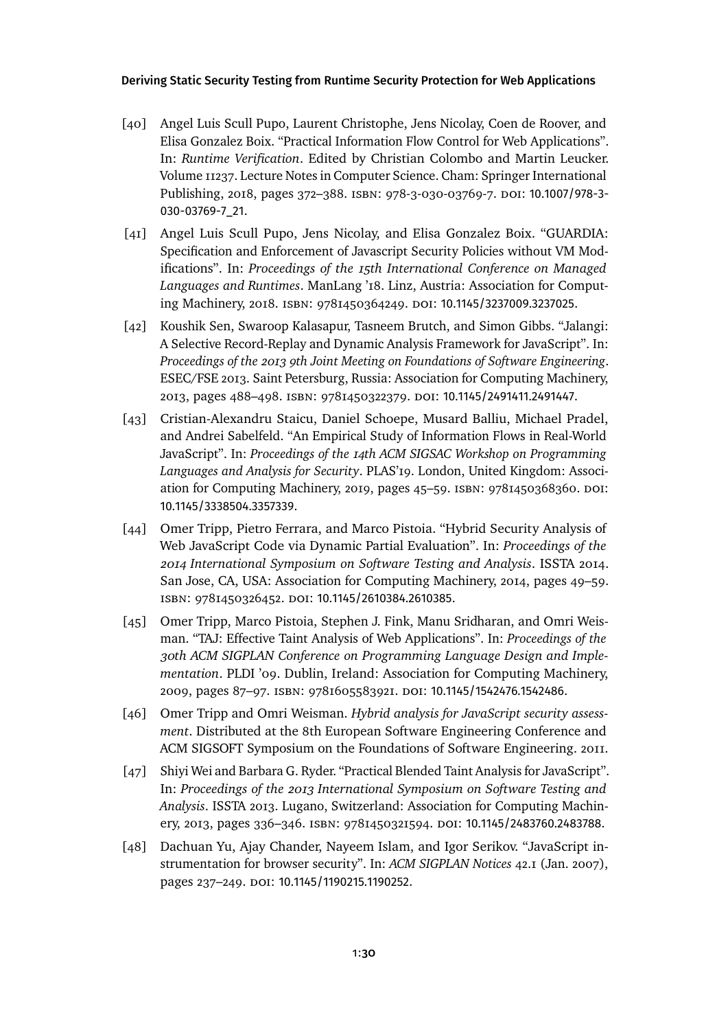- <span id="page-29-3"></span>[40] Angel Luis Scull Pupo, Laurent Christophe, Jens Nicolay, Coen de Roover, and Elisa Gonzalez Boix. "Practical Information Flow Control for Web Applications". In: *Runtime Verification*. Edited by Christian Colombo and Martin Leucker. Volume 11237. Lecture Notes in Computer Science. Cham: Springer International Publishing, 2018, pages 372–388. isbn: 978-3-030-03769-7. doi: [10.1007/978-3-](https://doi.org/10.1007/978-3-030-03769-7_21) [030-03769-7\\_21](https://doi.org/10.1007/978-3-030-03769-7_21).
- <span id="page-29-0"></span>[41] Angel Luis Scull Pupo, Jens Nicolay, and Elisa Gonzalez Boix. "GUARDIA: Specification and Enforcement of Javascript Security Policies without VM Modifications". In: *Proceedings of the 15th International Conference on Managed Languages and Runtimes*. ManLang '18. Linz, Austria: Association for Comput-ing Machinery, 2018. ISBN: 9781450364249. DOI: [10.1145/3237009.3237025](https://doi.org/10.1145/3237009.3237025).
- <span id="page-29-2"></span>[42] Koushik Sen, Swaroop Kalasapur, Tasneem Brutch, and Simon Gibbs. "Jalangi: A Selective Record-Replay and Dynamic Analysis Framework for JavaScript". In: *Proceedings of the 2013 9th Joint Meeting on Foundations of Software Engineering*. ESEC/FSE 2013. Saint Petersburg, Russia: Association for Computing Machinery, 2013, pages 488–498. isbn: 9781450322379. doi: [10.1145/2491411.2491447](https://doi.org/10.1145/2491411.2491447).
- <span id="page-29-5"></span>[43] Cristian-Alexandru Staicu, Daniel Schoepe, Musard Balliu, Michael Pradel, and Andrei Sabelfeld. "An Empirical Study of Information Flows in Real-World JavaScript". In: *Proceedings of the 14th ACM SIGSAC Workshop on Programming Languages and Analysis for Security*. PLAS'19. London, United Kingdom: Association for Computing Machinery, 2019, pages 45–59. isbn: 9781450368360. doi: [10.1145/3338504.3357339](https://doi.org/10.1145/3338504.3357339).
- <span id="page-29-7"></span>[44] Omer Tripp, Pietro Ferrara, and Marco Pistoia. "Hybrid Security Analysis of Web JavaScript Code via Dynamic Partial Evaluation". In: *Proceedings of the 2014 International Symposium on Software Testing and Analysis*. ISSTA 2014. San Jose, CA, USA: Association for Computing Machinery, 2014, pages 49–59. isbn: 9781450326452. doi: [10.1145/2610384.2610385](https://doi.org/10.1145/2610384.2610385).
- <span id="page-29-4"></span>[45] Omer Tripp, Marco Pistoia, Stephen J. Fink, Manu Sridharan, and Omri Weisman. "TAJ: Effective Taint Analysis of Web Applications". In: *Proceedings of the 30th ACM SIGPLAN Conference on Programming Language Design and Implementation*. PLDI '09. Dublin, Ireland: Association for Computing Machinery, 2009, pages 87–97. isbn: 9781605583921. doi: [10.1145/1542476.1542486](https://doi.org/10.1145/1542476.1542486).
- <span id="page-29-6"></span>[46] Omer Tripp and Omri Weisman. *Hybrid analysis for JavaScript security assessment*. Distributed at the 8th European Software Engineering Conference and ACM SIGSOFT Symposium on the Foundations of Software Engineering. 2011.
- <span id="page-29-8"></span>[47] Shiyi Wei and Barbara G. Ryder. "Practical Blended Taint Analysis for JavaScript". In: *Proceedings of the 2013 International Symposium on Software Testing and Analysis*. ISSTA 2013. Lugano, Switzerland: Association for Computing Machinery, 2013, pages 336–346. isbn: 9781450321594. doi: [10.1145/2483760.2483788](https://doi.org/10.1145/2483760.2483788).
- <span id="page-29-1"></span>[48] Dachuan Yu, Ajay Chander, Nayeem Islam, and Igor Serikov. "JavaScript instrumentation for browser security". In: *ACM SIGPLAN Notices* 42.1 (Jan. 2007), pages 237-249. doi: [10.1145/1190215.1190252](https://doi.org/10.1145/1190215.1190252).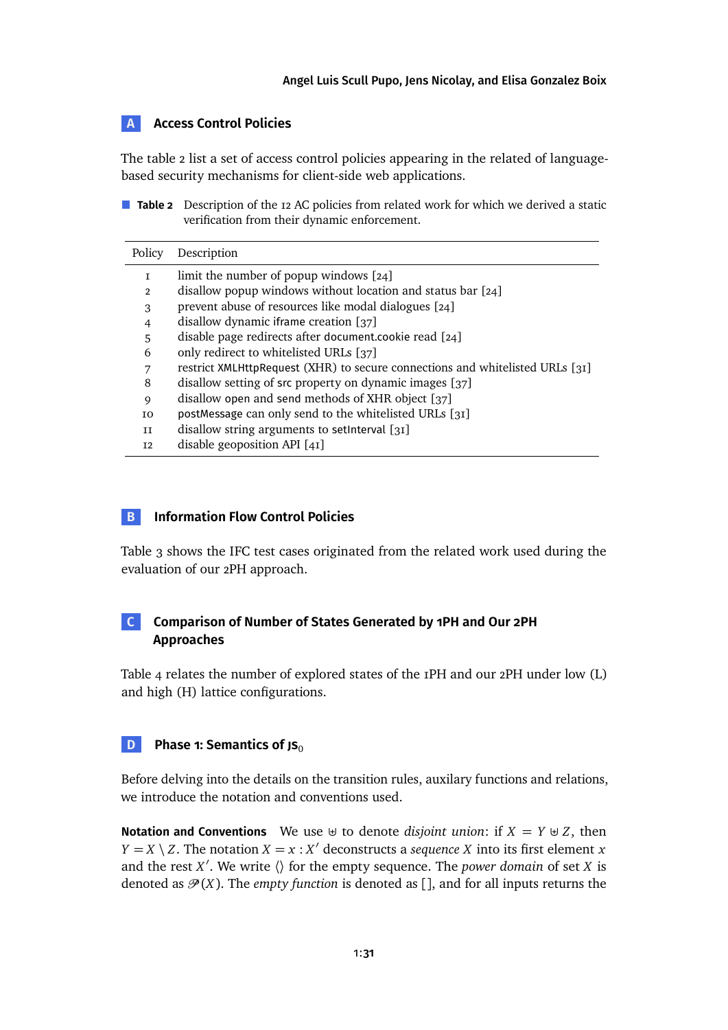### <span id="page-30-2"></span>**A Access Control Policies**

The [table 2](#page-30-1) list a set of access control policies appearing in the related of languagebased security mechanisms for client-side web applications.

<span id="page-30-1"></span>**Table 2** Description of the 12 AC policies from related work for which we derived a static verification from their dynamic enforcement.

| Policy         | Description                                                                   |
|----------------|-------------------------------------------------------------------------------|
| I              | limit the number of popup windows $[24]$                                      |
| $\mathfrak{p}$ | disallow popup windows without location and status bar $[24]$                 |
| 3              | prevent abuse of resources like modal dialogues [24]                          |
| $\overline{4}$ | disallow dynamic iframe creation [37]                                         |
| 5              | disable page redirects after document.cookie read [24]                        |
| 6              | only redirect to whitelisted URLs [37]                                        |
| 7              | restrict XMLHttpRequest (XHR) to secure connections and whitelisted URLs [31] |
| 8              | disallow setting of src property on dynamic images [37]                       |
| 9              | disallow open and send methods of XHR object [37]                             |
| I0             | postMessage can only send to the whitelisted URLs [31]                        |
| H              | disallow string arguments to setInterval [31]                                 |
| I2             | disable geoposition API $[41]$                                                |

### **B Information Flow Control Policies**

[Table 3](#page-31-0) shows the IFC test cases originated from the related work used during the evaluation of our 2PH approach.

### **C Comparison of Number of States Generated by 1PH and Our 2PH Approaches**

[Table 4](#page-32-0) relates the number of explored states of the 1PH and our 2PH under low (L) and high (H) lattice configurations.

<span id="page-30-0"></span>**D Phase 1: Semantics of JS**<sup>0</sup>

Before delving into the details on the transition rules, auxilary functions and relations, we introduce the notation and conventions used.

**Notation and Conventions** We use  $\uplus$  to denote *disjoint union*: if  $X = Y \uplus Z$ , then *Y* = *X* \ *Z*. The notation *X* = *x* : *X*<sup> $\prime$ </sup> deconstructs a *sequence X* into its first element *x* and the rest *X'*. We write  $\langle \rangle$  for the empty sequence. The *power domain* of set *X* is denoted as  $\mathcal{P}(X)$ . The *empty function* is denoted as [], and for all inputs returns the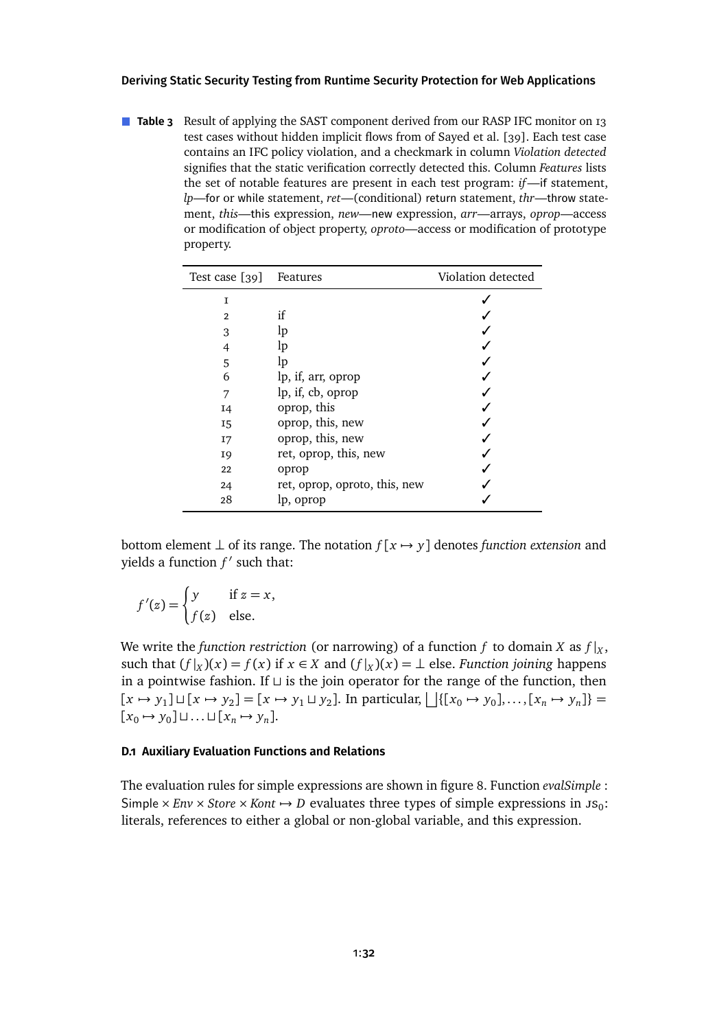<span id="page-31-0"></span>**Table 3** Result of applying the SAST component derived from our RASP IFC monitor on 13 test cases without hidden implicit flows from of Sayed et al. [\[39\]](#page-28-6). Each test case contains an IFC policy violation, and a checkmark in column *Violation detected* signifies that the static verification correctly detected this. Column *Features* lists the set of notable features are present in each test program: *if*—if statement, *lp*—for or while statement, *ret*—(conditional) return statement, *thr*—throw statement, *this*—this expression, *new*—new expression, *arr*—arrays, *oprop*—access or modification of object property, *oproto*—access or modification of prototype property.

| Test case [39] | Features                      | Violation detected |
|----------------|-------------------------------|--------------------|
| I              |                               |                    |
| $\overline{2}$ | if                            |                    |
| 3              | lp                            |                    |
| 4              | lp                            |                    |
| 5              | lp                            |                    |
| 6              | lp, if, arr, oprop            |                    |
| 7              | lp, if, cb, oprop             |                    |
| 14             | oprop, this                   |                    |
| <b>I5</b>      | oprop, this, new              |                    |
| I7             | oprop, this, new              |                    |
| <b>19</b>      | ret, oprop, this, new         |                    |
| 22             | oprop                         |                    |
| 24             | ret, oprop, oproto, this, new |                    |
| 28             | lp, oprop                     |                    |

bottom element  $\perp$  of its range. The notation  $f[x \mapsto y]$  denotes *function extension* and yields a function  $f'$  such that:

$$
f'(z) = \begin{cases} y & \text{if } z = x, \\ f(z) & \text{else.} \end{cases}
$$

We write the *function restriction* (or narrowing) of a function  $f$  to domain  $X$  as  $f|_X$ , such that  $(f|_X)(x) = f(x)$  if  $x \in X$  and  $(f|_X)(x) = \perp$  else. *Function joining* happens in a pointwise fashion. If  $\sqcup$  is the join operator for the range of the function, then  $[x \mapsto y_1] \sqcup [x \mapsto y_2] = [x \mapsto y_1 \sqcup y_2]$ . In particular,  $\bigcup \{ [x_0 \mapsto y_0], \dots, [x_n \mapsto y_n] \} =$  $[x_0 \mapsto y_0] \sqcup \ldots \sqcup [x_n \mapsto y_n].$ 

#### **D.1 Auxiliary Evaluation Functions and Relations**

The evaluation rules for simple expressions are shownin [figure 8.](#page-32-1) Function *evalSimple* : Simple  $\times$  *Env*  $\times$  *Store*  $\times$  *Kont*  $\rightarrow$  *D* evaluates three types of simple expressions in Js<sub>0</sub>: literals, references to either a global or non-global variable, and this expression.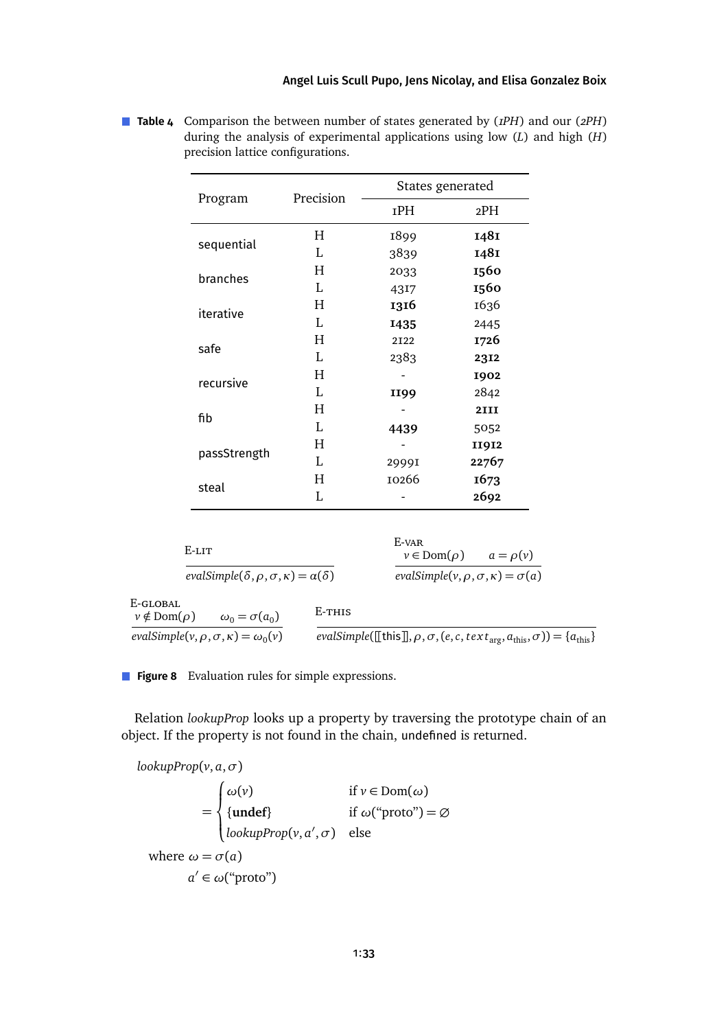### [Angel Luis Scull Pupo,](#page-40-0) [Jens Nicolay,](#page-40-1) and [Elisa Gonzalez Boix](#page-40-2)

| Program      | Precision | States generated |              |  |
|--------------|-----------|------------------|--------------|--|
|              |           | 1PH              | 2PH          |  |
| sequential   | H         | 1899             | 1481         |  |
|              | L         | 3839             | 1481         |  |
| branches     | Η         | 2033             | 1560         |  |
|              | L         | 4317             | 1560         |  |
| iterative    | H         | 1316             | 1636         |  |
|              | L         | 1435             | 2445         |  |
| safe         | H         | 2122             | 1726         |  |
|              | L         | 2383             | 2312         |  |
| recursive    | H         |                  | 1902         |  |
|              | L         | II99             | 2842         |  |
| fib          | H         |                  | <b>2III</b>  |  |
|              | L         | 4439             | 5052         |  |
| passStrength | H         |                  | <b>II9I2</b> |  |
|              | L         | 2999I            | 22767        |  |
|              | Η         | 10266            | 1673         |  |
| steal        | L         |                  | 2692         |  |

<span id="page-32-0"></span>**Table 4** Comparison the between number of states generated by (*1PH*) and our (*2PH*) during the analysis of experimental applications using low (*L*) and high (*H*) precision lattice configurations.

<span id="page-32-1"></span>

| E-lit                                                                         |        | E-var<br>$v \in \text{Dom}(\rho)$                      | $a = \rho(v)$                                                                                                                                          |
|-------------------------------------------------------------------------------|--------|--------------------------------------------------------|--------------------------------------------------------------------------------------------------------------------------------------------------------|
| evalSimple( $\delta$ , $\rho$ , $\sigma$ , $\kappa$ ) = $\alpha$ ( $\delta$ ) |        | evalSimple( $v, \rho, \sigma, \kappa$ ) = $\sigma$ (a) |                                                                                                                                                        |
| E-GLOBAL<br>$v \notin \text{Dom}(\rho)$<br>$\omega_0 = \sigma(a_0)$           | E-THIS |                                                        |                                                                                                                                                        |
| evalSimple( $v, \rho, \sigma, \kappa$ ) = $\omega_0(v)$                       |        |                                                        | <i>evalSimple</i> ([[this]], $\rho$ , $\sigma$ , ( <i>e</i> , <i>c</i> , text <sub>arg</sub> , $a_{\text{this}}$ , $\sigma$ )) = { $a_{\text{this}}$ } |

**Figure 8** Evaluation rules for simple expressions.

Relation *lookupProp* looks up a property by traversing the prototype chain of an object. If the property is not found in the chain, undefined is returned.

*lookupProp*(*v*, *a*,*σ*) =  $\sqrt{ }$  $\int$  $\overline{\mathcal{L}}$ *ω*(*v*) if *v* ∈ Dom(*ω*) {**undef**} if *ω*("proto") = ∅ *lookupProp*(*v*, *a'*, *σ*) else where  $\omega = \sigma(a)$ *a'* ∈ *ω*("proto")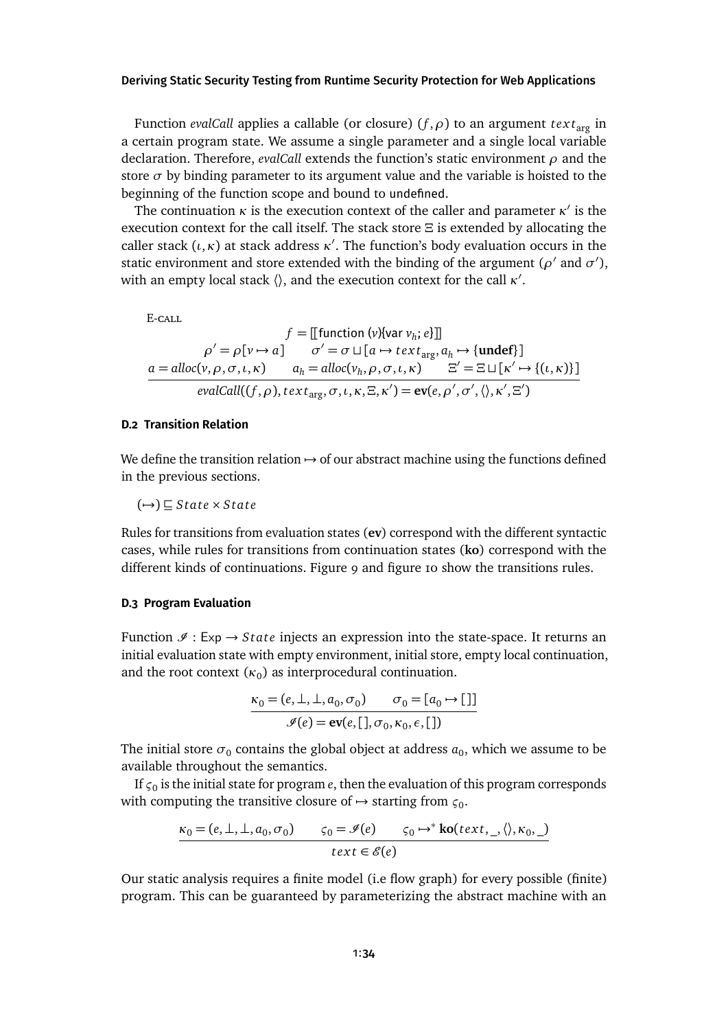Function *evalCall* applies a callable (or closure) (*f* ,*ρ*) to an argument *tex t*arg in a certain program state. We assume a single parameter and a single local variable declaration. Therefore, *evalCall* extends the function's static environment *ρ* and the store  $\sigma$  by binding parameter to its argument value and the variable is hoisted to the beginning of the function scope and bound to undefined.

The continuation  $\kappa$  is the execution context of the caller and parameter  $\kappa'$  is the execution context for the call itself. The stack store *Ξ* is extended by allocating the caller stack  $(\iota, \kappa)$  at stack address  $\kappa'$ . The function's body evaluation occurs in the static environment and store extended with the binding of the argument ( $\rho'$  and  $\sigma'$ ), with an empty local stack  $\langle \rangle$ , and the execution context for the call  $\kappa'.$ 

E-call

$$
f = [[function (v){var vh; e}]]
$$
  
\n
$$
\rho' = \rho[v \rightarrow a] \qquad \sigma' = \sigma \sqcup [a \rightarrow text_{arg}, a_h \rightarrow {under}]
$$
  
\n
$$
a = alloc(v, \rho, \sigma, \iota, \kappa) \qquad a_h = alloc(v_h, \rho, \sigma, \iota, \kappa) \qquad \Xi' = \Xi \sqcup [\kappa' \rightarrow \{( \iota, \kappa) \}]
$$
  
\n
$$
evalCall((f, \rho), text_{arg}, \sigma, \iota, \kappa, \Xi, \kappa') = \text{ev}(e, \rho', \sigma', \langle \rangle, \kappa', \Xi')
$$

### <span id="page-33-0"></span>**D.2 Transition Relation**

We define the transition relation  $\rightarrow$  of our abstract machine using the functions defined in the previous sections.

$$
(\rightarrow) \sqsubseteq State \times State
$$

Rules for transitions from evaluation states (**ev**) correspond with the different syntactic cases, while rules for transitions from continuation states (**ko**) correspond with the different kinds of continuations. [Figure 9](#page-34-0) and [figure 10](#page-35-1) show the transitions rules.

#### **D.3 Program Evaluation**

Function  $\mathcal{I}: Exp \rightarrow State$  injects an expression into the state-space. It returns an initial evaluation state with empty environment, initial store, empty local continuation, and the root context  $(\kappa_0)$  as interprocedural continuation.

$$
\kappa_0 = (e, \perp, \perp, a_0, \sigma_0) \qquad \sigma_0 = [a_0 \rightarrow [
$$
]  

$$
\mathcal{I}(e) = \mathbf{ev}(e, [], \sigma_0, \kappa_0, \epsilon, [])
$$

The initial store  $\sigma_0$  contains the global object at address  $a_0$ , which we assume to be available throughout the semantics.

If  $\varsigma_0$  is the initial state for program  $e$ , then the evaluation of this program corresponds with computing the transitive closure of  $\rightarrow$  starting from  $\varsigma_0$ .

$$
\frac{\kappa_0 = (e, \perp, \perp, a_0, \sigma_0) \qquad \varsigma_0 = \mathcal{I}(e) \qquad \varsigma_0 \mapsto^* \text{ko}(text, \_, \langle \rangle, \kappa_0, \_)
$$

$$
text \in \mathcal{E}(e)
$$

Our static analysis requires a finite model (i.e flow graph) for every possible (finite) program. This can be guaranteed by parameterizing the abstract machine with an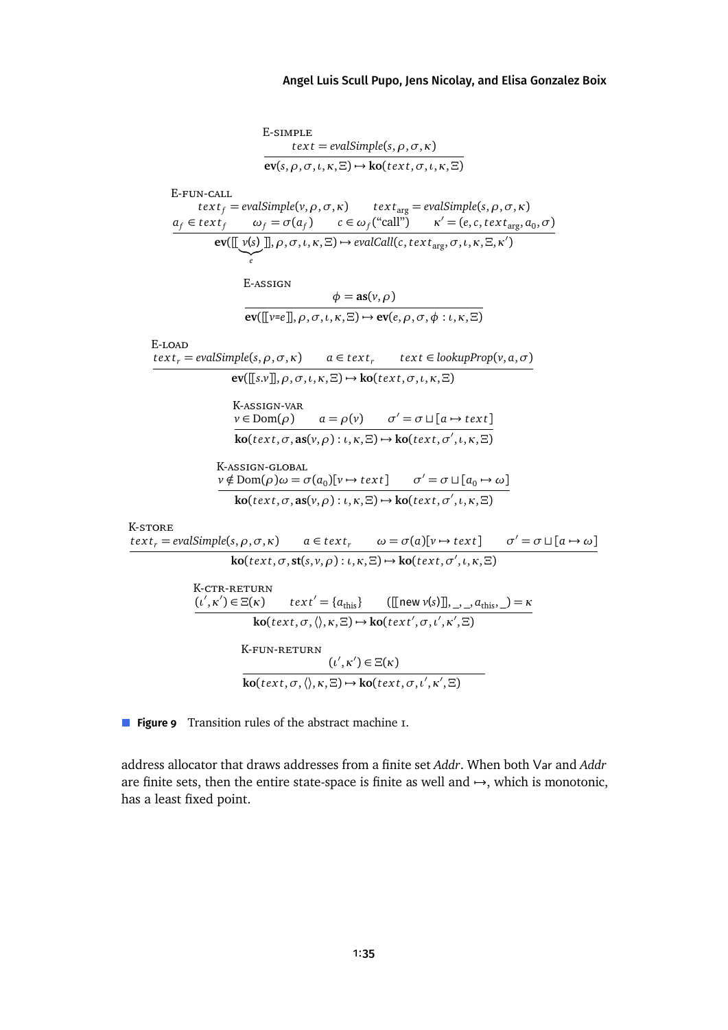<span id="page-34-0"></span>
$$
\begin{array}{cccc}\n & \text{E-SIMPLE} & \text{text} = \text{evalSimple}(s, \rho, \sigma, \kappa) \\
 & \text{ev}(s, \rho, \sigma, \iota, \kappa, \Xi) \rightarrow \text{ko}(text, \sigma, \kappa, \kappa, \Xi) \\
 & \text{E-FUN-CALL} & \text{text} = \text{evalSimple}(v, \rho, \sigma, \kappa) & \text{text}(\kappa, \sigma, \kappa, \kappa, \Xi) \\
 & \text{g}_{f} \in \text{text}(\rho, \phi) = \sigma(a_{f}) & \text{c} \in \omega_{f}(\text{``call''}) & \kappa' = (e, c, text_{\text{arg}}, a_{0}, \sigma) \\
 & \text{ev}([\![v_{s}])], \rho, \sigma, \iota, \kappa, \Xi) \rightarrow \text{evalCall}(c, \text{text}_{\text{arg}}, \sigma, \iota, \kappa, \Xi, \kappa') \\
 & \text{ev}([\![v_{s}])], \rho, \sigma, \iota, \kappa, \Xi) \rightarrow \text{evalCall}(c, \text{text}_{\text{arg}}, \sigma, \iota, \kappa, \Xi, \kappa') \\
 & \text{E-ASSTGN} & \phi = \text{as}(v, \rho) \\
 & \text{ev}([\![v_{s}])], \rho, \sigma, \iota, \kappa, \Xi) \rightarrow \text{ev}(e, \rho, \sigma, \phi : \iota, \kappa, \Xi) \\
 & \text{E-LOAD} & \text{ev}([\![s, v]], \rho, \sigma, \iota, \kappa, \Xi) \rightarrow \text{ko}(\kappa, \sigma, \iota, \kappa, \Xi) \\
 & \text{K-ASSIGN-VAR} & \text{ve} \\
 & \text{ve}([\![s, v]), \sigma, \iota, \kappa, \Xi) \rightarrow \text{ko}(\kappa, \sigma, \iota, \kappa, \kappa, \Xi) \\
 & \text{K-ASSIGN-CLOBAL} & \text{ve} \\
 & \text{se}(\kappa, \sigma, \kappa, \sigma, \kappa) & \text{a} \in \text{text}, \sigma', \kappa, \kappa) \rightarrow \text{ko}(\kappa, \sigma', \iota, \kappa, \kappa) \\
 & \text{V} \notin \text{Dom}(\rho) & \omega = \sigma(a_0)[v \rightarrow \kappa, \kappa, \Xi) \\
 & \text{K-ASSIGN-GLOBL} & \text{ve} \\
 & \text{ko}(\kappa, \sigma,
$$

**Figure 9** Transition rules of the abstract machine 1.

address allocator that draws addresses from a finite set *Addr*. When both Var and *Addr* are finite sets, then the entire state-space is finite as well and  $\rightarrow$ , which is monotonic, has a least fixed point.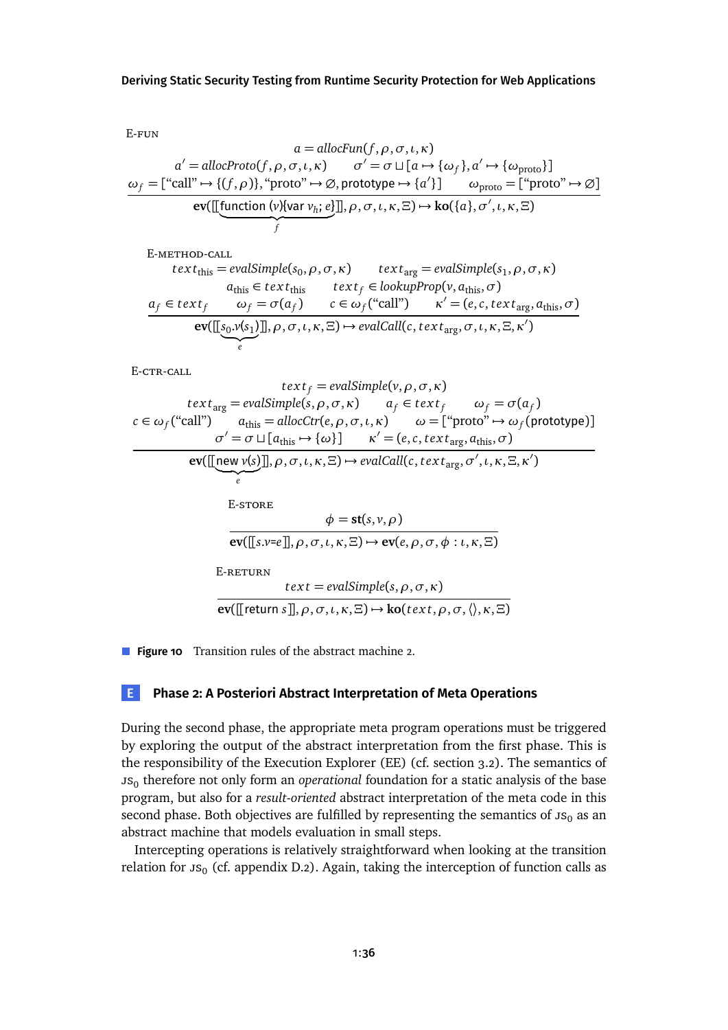<span id="page-35-1"></span>E-fun

$$
a = \text{allocFun}(f, \rho, \sigma, \iota, \kappa)
$$
\n
$$
a' = \text{allocProb}(f, \rho, \sigma, \iota, \kappa) \qquad \sigma' = \sigma \sqcup [a \mapsto \{\omega_f\}, a' \mapsto \{\omega_{\text{proto}}\}]
$$
\n
$$
\omega_f = [\text{``call''} \mapsto \{(f, \rho)\}, \text{``proto''} \mapsto \emptyset, \text{prototype} \mapsto \{a'\}] \qquad \omega_{\text{proto}} = [\text{``proto''} \mapsto \emptyset]
$$
\n
$$
\text{ev}([\text{function (v)} \{ \text{var } v_h; e \}]], \rho, \sigma, \iota, \kappa, \Xi) \mapsto \text{ko}(\{a\}, \sigma', \iota, \kappa, \Xi)
$$

E-method-call

$$
text_{this} = evalSimple(s_0, \rho, \sigma, \kappa) \ttext{text}_{arg} = evalSimple(s_1, \rho, \sigma, \kappa)
$$
\n
$$
a_{this} \in text_{this} \ttext{text}_{arg} = evalSimple(s_1, \rho, \sigma, \kappa)
$$
\n
$$
a_f \in text_f \t\t \omega_f = \sigma(a_f) \t\t c \in \omega_f("call") \t\t \kappa' = (e, c, text_{arg}, a_{this}, \sigma)
$$
\n
$$
ev([[s_0, v(s_1)]], \rho, \sigma, \iota, \kappa, \Xi) \mapsto evalCall(c, text_{arg}, \sigma, \iota, \kappa, \Xi, \kappa')
$$

E-CTR-CALL

$$
text_{\text{avg}} = \text{evalSimple}(v, \rho, \sigma, \kappa)
$$
\n
$$
text_{\text{avg}} = \text{evalSimple}(s, \rho, \sigma, \kappa) \qquad a_f \in text_f \qquad \omega_f = \sigma(a_f)
$$
\n
$$
c \in \omega_f(\text{``call''}) \qquad a_{\text{this}} = \text{allocCtr}(e, \rho, \sigma, \iota, \kappa) \qquad \omega = [\text{``proto''} \rightarrow \omega_f(\text{prototype})]
$$
\n
$$
\sigma' = \sigma \sqcup [a_{\text{this}} \rightarrow \{\omega\}] \qquad \kappa' = (e, c, \text{text}_{\text{arg}}, a_{\text{this}}, \sigma)
$$
\n
$$
\text{ev}([\text{new } v(s)]], \rho, \sigma, \iota, \kappa, \Xi) \mapsto \text{evalCall}(c, \text{text}_{\text{arg}}, \sigma', \iota, \kappa, \Xi, \kappa')
$$
\n
$$
\text{E-STORE}
$$
\n
$$
\phi = \text{st}(s, v, \rho)
$$
\n
$$
\text{ev}([\text{s.v=e}], \rho, \sigma, \iota, \kappa, \Xi) \mapsto \text{ev}(e, \rho, \sigma, \phi : \iota, \kappa, \Xi)
$$
\n
$$
\text{E-RETURN}
$$
\n
$$
\text{text} = \text{evalSimple}(s, \rho, \sigma, \kappa)
$$
\n
$$
\text{ev}([\text{return } s], \rho, \sigma, \iota, \kappa, \Xi) \mapsto \text{ko}(\text{text}, \rho, \sigma, \langle \rangle, \kappa, \Xi)
$$

**Figure 10** Transition rules of the abstract machine 2.

### <span id="page-35-0"></span>**E Phase 2: A Posteriori Abstract Interpretation of Meta Operations**

During the second phase, the appropriate meta program operations must be triggered by exploring the output of the abstract interpretation from the first phase. This is the responsibility of the Execution Explorer (EE) (cf. [section 3.2\)](#page-8-0). The semantics of  $\mathsf{u}_0$  therefore not only form an *operational* foundation for a static analysis of the base program, but also for a *result-oriented* abstract interpretation of the meta code in this second phase. Both objectives are fulfilled by representing the semantics of  $\text{JS}_0$  as an abstract machine that models evaluation in small steps.

Intercepting operations is relatively straightforward when looking at the transition relation for  $\mathsf{JS}_0$  (cf. [appendix D.2\)](#page-33-0). Again, taking the interception of function calls as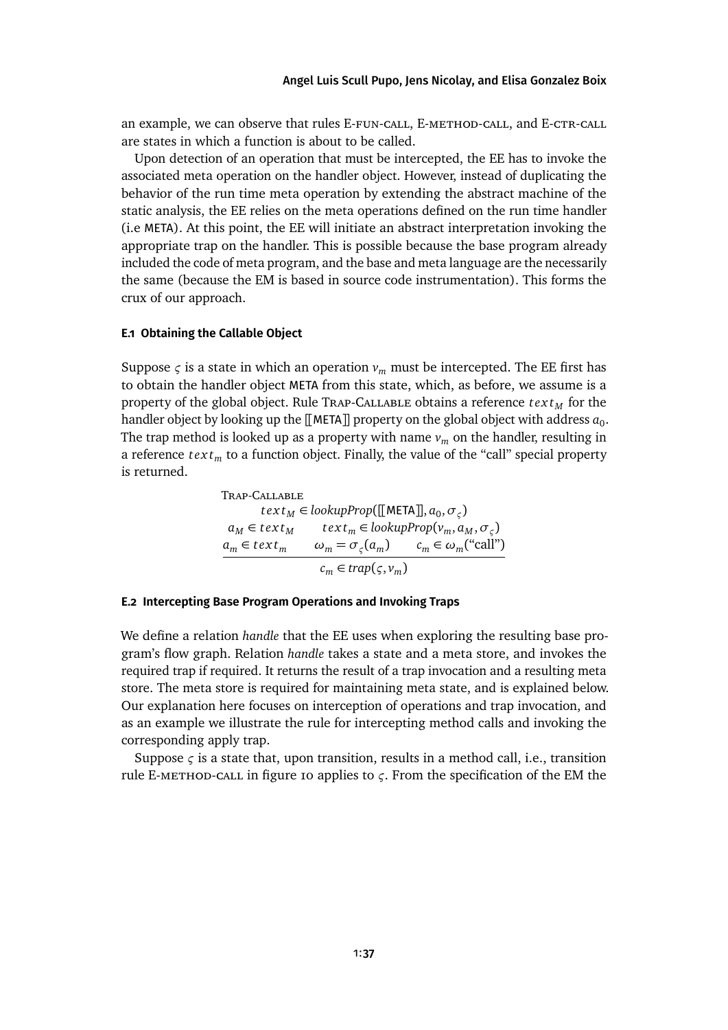an example, we can observe that rules E-FUN-CALL, E-METHOD-CALL, and E-CTR-CALL are states in which a function is about to be called.

Upon detection of an operation that must be intercepted, the EE has to invoke the associated meta operation on the handler object. However, instead of duplicating the behavior of the run time meta operation by extending the abstract machine of the static analysis, the EE relies on the meta operations defined on the run time handler (i.e META). At this point, the EE will initiate an abstract interpretation invoking the appropriate trap on the handler. This is possible because the base program already included the code of meta program, and the base and meta language are the necessarily the same (because the EM is based in source code instrumentation). This forms the crux of our approach.

#### <span id="page-36-1"></span>**E.1 Obtaining the Callable Object**

Suppose  $\varsigma$  is a state in which an operation  $v_m$  must be intercepted. The EE first has to obtain the handler object META from this state, which, as before, we assume is a property of the global object. Rule Trap-Callable obtains a reference *tex t<sup>M</sup>* for the handler object by looking up the [[META]] property on the global object with address  $a_0$ . The trap method is looked up as a property with name  $v_m$  on the handler, resulting in a reference *tex t<sup>m</sup>* to a function object. Finally, the value of the "call" special property is returned.

> Trap-Callable  $text{t} \exp\left(\frac{1}{2} \ln \tan \frac{\pi}{2}, \sigma_{\varsigma}\right)$  $a_M \in text_M$  *text<sub>m</sub>* ∈ *lookupProp*( $v_m, a_M, \sigma_\varsigma$ )  $a_m \in text_m$   $\omega_m = \sigma_\varsigma(a_m)$   $c_m \in \omega_m(\text{``call''})$  $c_m \in trap(\varsigma, v_m)$

#### <span id="page-36-0"></span>**E.2 Intercepting Base Program Operations and Invoking Traps**

We define a relation *handle* that the EE uses when exploring the resulting base program's flow graph. Relation *handle* takes a state and a meta store, and invokes the required trap if required. It returns the result of a trap invocation and a resulting meta store. The meta store is required for maintaining meta state, and is explained below. Our explanation here focuses on interception of operations and trap invocation, and as an example we illustrate the rule for intercepting method calls and invoking the corresponding apply trap.

Suppose *ς* is a state that, upon transition, results in a method call, i.e., transition rule E-method-call in [figure 10](#page-35-1) applies to *ς*. From the specification of the EM the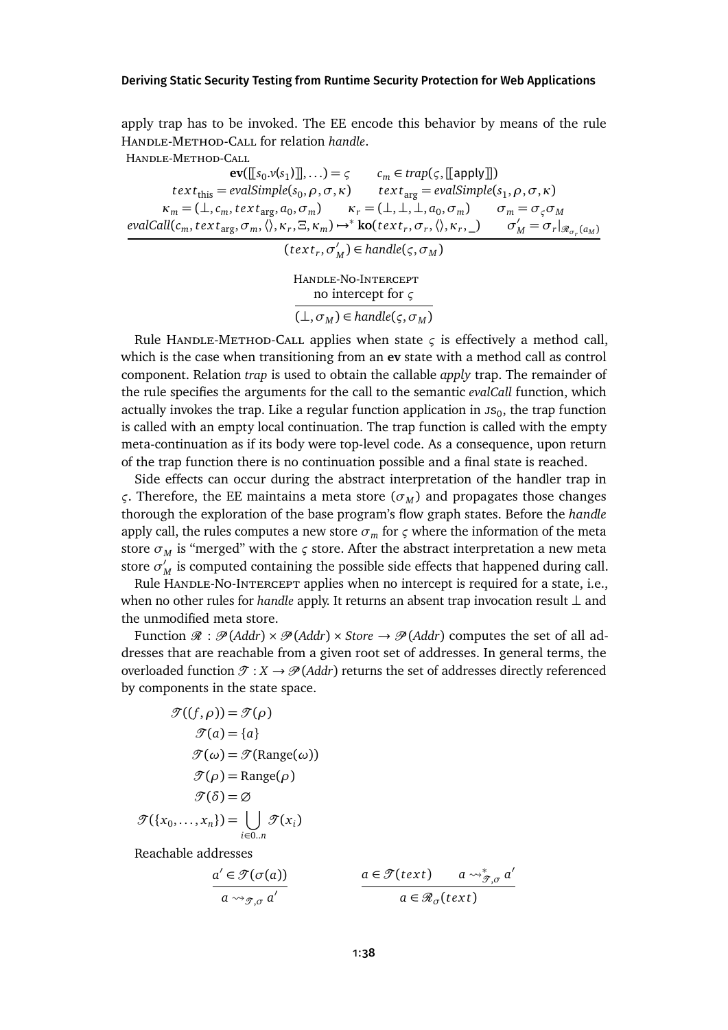apply trap has to be invoked. The EE encode this behavior by means of the rule Handle-Method-Call for relation *handle*.

Handle-Method-Call

 $ev([\![s_0,v(s_1)]\!],\ldots) = \varsigma$   $c_m \in trap(\varsigma,[\![\text{apply}]\!])$  $\textit{text}_{\text{this}} = \textit{evalSimple}(s_0, \rho, \sigma, \kappa)$   $\textit{text}_{\text{arg}} = \textit{evalSimple}(s_1, \rho, \sigma, \kappa)$  $\kappa_m = (\perp, c_m, \text{text}_{\text{arg}}, a_0, \sigma_m)$   $\kappa_r = (\perp, \perp, \perp, a_0, \sigma_m)$   $\sigma_m = \sigma_{\varsigma} \sigma_M$  $evalCall(c_m, text_{\text{arg}}, \sigma_m, \langle\rangle, \kappa_r, \Xi, \kappa_m) \mapsto^* \textbf{ko}(text_r, \sigma_r, \langle\rangle, \kappa_r, \underline{\hspace{1cm}}) \qquad \sigma'_M = \sigma_r|_{\mathscr{R}_{\sigma_r}(a_M)}$ 

$$
(\text{text}_r, \sigma'_M) \in \text{handle}(\varsigma, \sigma_M)
$$

Handle-No-Intercept no intercept for *ς*  $(\bot, \sigma_M) \in \text{handle}(\varsigma, \sigma_M)$ 

Rule HANDLE-METHOD-CALL applies when state  $\varsigma$  is effectively a method call, which is the case when transitioning from an **ev** state with a method call as control component. Relation *trap* is used to obtain the callable *apply* trap. The remainder of the rule specifies the arguments for the call to the semantic *evalCall* function, which actually invokes the trap. Like a regular function application in  $\mathfrak{ss}_0$ , the trap function is called with an empty local continuation. The trap function is called with the empty meta-continuation as if its body were top-level code. As a consequence, upon return of the trap function there is no continuation possible and a final state is reached.

Side effects can occur during the abstract interpretation of the handler trap in *ς*. Therefore, the EE maintains a meta store (*σ<sup>M</sup>* ) and propagates those changes thorough the exploration of the base program's flow graph states. Before the *handle* apply call, the rules computes a new store  $\sigma_m$  for  $\varsigma$  where the information of the meta store  $\sigma_M$  is "merged" with the  $\varsigma$  store. After the abstract interpretation a new meta store  $\sigma'_{\ell}$  $_M'$  is computed containing the possible side effects that happened during call.

Rule HANDLE-NO-INTERCEPT applies when no intercept is required for a state, i.e., when no other rules for *handle* apply. It returns an absent trap invocation result ⊥ and the unmodified meta store.

Function  $\mathcal{R} : \mathcal{P}(Addr) \times \mathcal{P}(Addr) \times \text{Store} \rightarrow \mathcal{P}(Addr)$  computes the set of all addresses that are reachable from a given root set of addresses. In general terms, the overloaded function  $\mathcal{T}: X \to \mathcal{P}(A d d r)$  returns the set of addresses directly referenced by components in the state space.

$$
\mathcal{T}((f,\rho)) = \mathcal{T}(\rho)
$$

$$
\mathcal{T}(a) = \{a\}
$$

$$
\mathcal{T}(\omega) = \mathcal{T}(\text{Range}(\omega))
$$

$$
\mathcal{T}(\rho) = \text{Range}(\rho)
$$

$$
\mathcal{T}(\delta) = \varnothing
$$

$$
\mathcal{T}(\{x_0,\ldots,x_n\}) = \bigcup_{i\in 0..n} \mathcal{T}(x_i)
$$

Reachable addresses

$$
\frac{a' \in \mathcal{T}(\sigma(a))}{a \leadsto_{\mathcal{T}, \sigma} a'} \qquad \qquad \frac{a \in \mathcal{T}(\text{text}) \qquad a \leadsto_{\mathcal{T}, \sigma}^* a'}{a \in \mathcal{R}_{\sigma}(\text{text})}
$$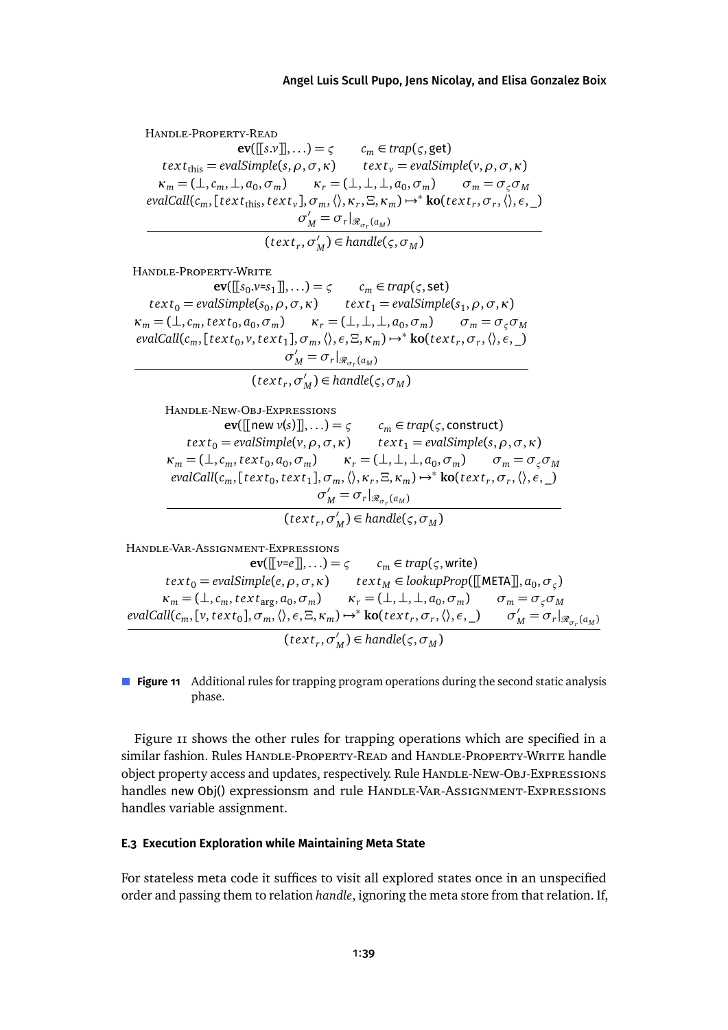<span id="page-38-0"></span>Handle-Property-Read  $ev([[s.v]]$ ,...) =  $\varsigma$   $c_m \in trap(\varsigma, get)$  $\text{text}_{\text{this}} = \text{evalSimple}(s, \rho, \sigma, \kappa)$   $\text{text}_{v} = \text{evalSimple}(v, \rho, \sigma, \kappa)$  $\kappa_m = (\perp, c_m, \perp, a_0, \sigma_m)$   $\kappa_r = (\perp, \perp, \perp, a_0, \sigma_m)$   $\sigma_m = \sigma_{\varsigma} \sigma_M$  $\alpha$ *evalCall*( $c_m$ ,[text<sub>this</sub>, text<sub>v</sub>],  $\sigma_m$ ,  $\langle \rangle$ ,  $\kappa_r$ ,  $\Xi$ ,  $\kappa_m$ )  $\rightarrow$ \* **ko**(text<sub>r</sub>,  $\sigma_r$ ,  $\langle \rangle$ ,  $\epsilon$ , \_)  $\sigma'_M = \sigma_r|_{\mathcal{R}_{\sigma_r}(a_M)}$  $(\textit{text}_r, \sigma'_l)$  $\binom{M}{M}$   $\in$  *handle*( $\varsigma$ ,  $\sigma$ <sub>*M*</sub>)</sub>

HANDLE-PROPERTY-WRITE

 $ev([[s_0 \cdot v = s_1]]$ ,...) =  $\varsigma$   $c_m \in trap(\varsigma, set)$  $\text{text}_{0} = \text{evalSimple}(s_{0}, \rho, \sigma, \kappa)$   $\text{text}_{1} = \text{evalSimple}(s_{1}, \rho, \sigma, \kappa)$  $\kappa_m = (\perp, c_m, \text{text } t_{0}, a_0, \sigma_m)$   $\kappa_r = (\perp, \perp, \perp, a_0, \sigma_m)$   $\sigma_m = \sigma_{\varsigma} \sigma_M$  $\alpha$ *evalCall*( $c_m$ , [*text*<sub>0</sub>,  $\nu$ , *text*<sub>1</sub>],  $\sigma_m$ ,  $\langle \rangle$ ,  $\epsilon$ ,  $\Xi$ ,  $\kappa_m$ )  $\rightarrow$ \* **ko**(*text<sub>r</sub>*,  $\sigma_r$ ,  $\langle \rangle$ ,  $\epsilon$ , \_)  $\sigma'_M = \sigma_r|_{\mathscr{R}_{\sigma_r}(a_M)}$  $(\textit{text}_r, \sigma'_l)$  $\binom{M}{M}$   $\in$  *handle*( $\varsigma$ ,  $\sigma$ <sub>*M*</sub>)</sub>

Handle-New-Obj-Expressions  $ev([\text{new } v(s)]], \ldots) = \varsigma$   $c_m \in trap(\varsigma, \text{construct})$  $text{text}_{0} = \text{evalSimple}(v, \rho, \sigma, \kappa)$   $\text{text}_{1} = \text{evalSimple}(s, \rho, \sigma, \kappa)$  $\kappa_m = (\perp, c_m, \text{text } t_0, a_0, \sigma_m)$   $\kappa_r = (\perp, \perp, \perp, a_0, \sigma_m)$   $\sigma_m = \sigma_{\varsigma} \sigma_M$  $\alpha$ *evalCall*(*c<sub>m</sub>*, [*text*<sub>0</sub>, *text*<sub>1</sub>],  $\sigma$ <sub>*m*</sub>,  $\langle$ ),  $\kappa$ <sub>*r*</sub>,  $\Xi$ ,  $\kappa$ <sub>*m*</sub>)  $\rightarrow$ <sup>\*</sup> **ko**(*text<sub>r</sub>,*  $\sigma$ *<sub>r</sub>,*  $\langle$ *),*  $\epsilon$ *, \_)*  $\sigma'_M = \sigma_r|_{\mathcal{R}_{\sigma_r}(a_M)}$  $(\text{text}_r, \sigma'_l)$  $\binom{M}{M}$   $\in$  *handle*( $\varsigma$ ,  $\sigma$ <sub>*M*</sub>)</sub>

Handle-Var-Assignment-Expressions

 $ev([\![v=e]\!],...) = \varsigma$   $c_m \in trap(\varsigma, write)$  $text_0 = evalSimple(e, \rho, \sigma, \kappa)$  *text*<sub>*M*</sub> ∈ *lookupProp*([[META]],  $a_0, \sigma_\varsigma$ )  $\kappa_m = (\perp, c_m, \text{text}_{\text{arg}}, a_0, \sigma_m)$   $\kappa_r = (\perp, \perp, \perp, a_0, \sigma_m)$   $\sigma_m = \sigma_{\varsigma} \sigma_M$  $evalCall(c_m,[v, text_0], \sigma_m, \langle \rangle, \epsilon, \Xi, \kappa_m) \mapsto^* \textbf{ko}(text_r, \sigma_r, \langle \rangle, \epsilon, \_) \qquad \sigma'_M = \sigma_r|_{\mathscr{R}_{\sigma_r}(a_M)}$  $(\textit{text}_r, \sigma'_l)$  $\binom{M}{M}$   $\in$  *handle*( $\varsigma$ ,  $\sigma$ <sub>*M*</sub>)</sub>

**Figure 11** Additional rules for trapping program operations during the second static analysis phase.

[Figure 11](#page-38-0) shows the other rules for trapping operations which are specified in a similar fashion. Rules HANDLE-PROPERTY-READ and HANDLE-PROPERTY-WRITE handle object property access and updates, respectively. Rule HANDLE-NEW-OBJ-ExpRESSIONS handles new Obj() expressionsm and rule HANDLE-VAR-AssIGNMENT-ExpRESSIONS handles variable assignment.

### **E.3 Execution Exploration while Maintaining Meta State**

For stateless meta code it suffices to visit all explored states once in an unspecified order and passing them to relation *handle*, ignoring the meta store from that relation. If,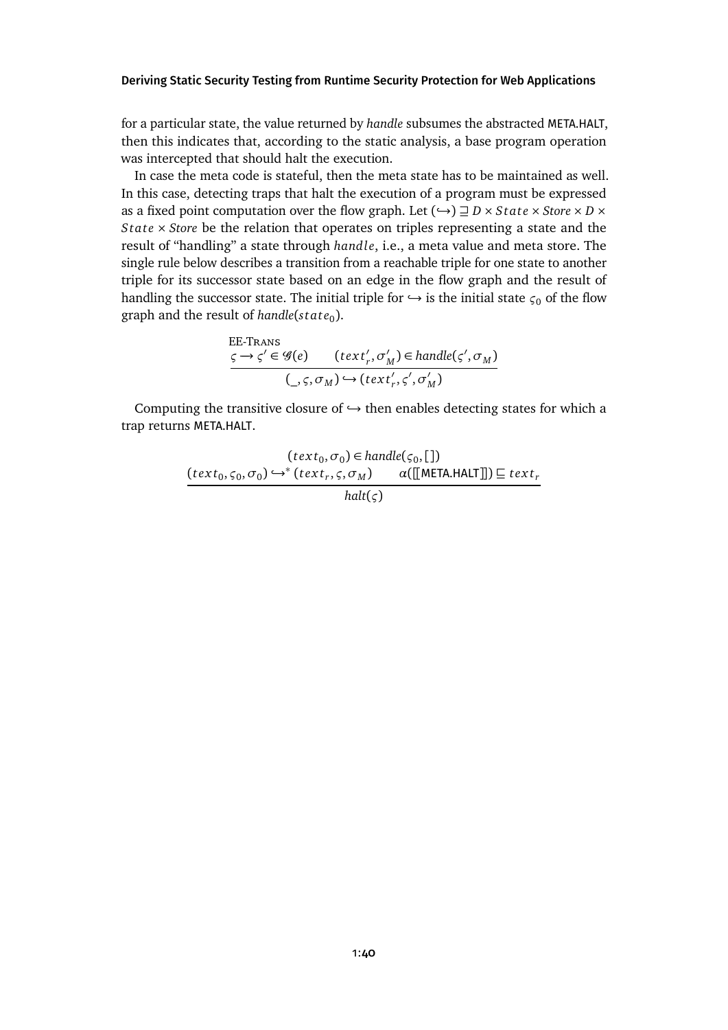for a particular state, the value returned by *handle* subsumes the abstracted META.HALT, then this indicates that, according to the static analysis, a base program operation was intercepted that should halt the execution.

In case the meta code is stateful, then the meta state has to be maintained as well. In this case, detecting traps that halt the execution of a program must be expressed as a fixed point computation over the flow graph. Let  $(\rightarrow) \sqsupseteq D \times State \times Store \times D \times$ *State* × *Store* be the relation that operates on triples representing a state and the result of "handling" a state through *handle*, i.e., a meta value and meta store. The single rule below describes a transition from a reachable triple for one state to another triple for its successor state based on an edge in the flow graph and the result of handling the successor state. The initial triple for  $\hookrightarrow$  is the initial state  $\varsigma_0$  of the flow graph and the result of *handle*(state<sub>0</sub>).

EE-Trans  
\n
$$
\underline{\varsigma \rightarrow \varsigma' \in \mathcal{G}(e) \qquad (text'_r, \sigma'_M) \in handle(\varsigma', \sigma_M)}
$$
\n
$$
(\underline{\varsigma, \varsigma, \sigma_M) \hookrightarrow (text'_r, \varsigma', \sigma'_M)}
$$

Computing the transitive closure of  $\hookrightarrow$  then enables detecting states for which a trap returns META.HALT.

$$
(text_0, \sigma_0) \in handle(\varsigma_0, [])
$$
  
\n
$$
\underbrace{(text_0, \varsigma_0, \sigma_0) \hookrightarrow^* (text_r, \varsigma, \sigma_M) \qquad \alpha([\text{[META.HALT]}]) \sqsubseteq text_r}_{halt(\varsigma)}
$$